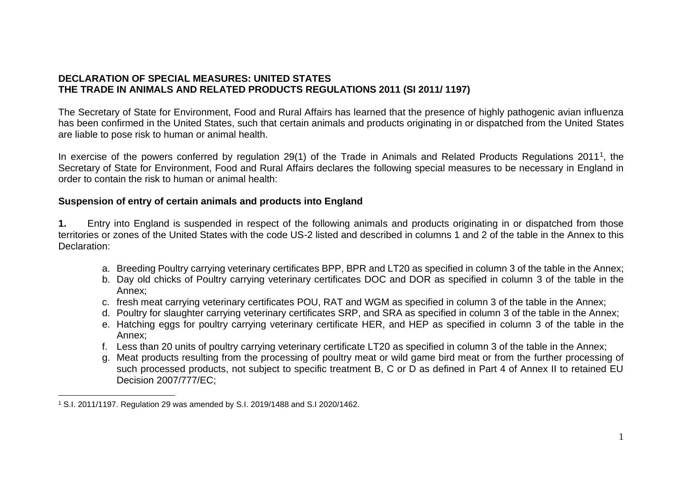# **DECLARATION OF SPECIAL MEASURES: UNITED STATES THE TRADE IN ANIMALS AND RELATED PRODUCTS REGULATIONS 2011 (SI 2011/ 1197)**

The Secretary of State for Environment, Food and Rural Affairs has learned that the presence of highly pathogenic avian influenza has been confirmed in the United States, such that certain animals and products originating in or dispatched from the United States are liable to pose risk to human or animal health.

In exercise of the powers conferred by regulation 29(1) of the Trade in Animals and Related Products Regulations 2011<sup>1</sup>, the Secretary of State for Environment, Food and Rural Affairs declares the following special measures to be necessary in England in order to contain the risk to human or animal health:

# **Suspension of entry of certain animals and products into England**

**1.** Entry into England is suspended in respect of the following animals and products originating in or dispatched from those territories or zones of the United States with the code US-2 listed and described in columns 1 and 2 of the table in the Annex to this Declaration:

- a. Breeding Poultry carrying veterinary certificates BPP, BPR and LT20 as specified in column 3 of the table in the Annex;
- b. Day old chicks of Poultry carrying veterinary certificates DOC and DOR as specified in column 3 of the table in the Annex;
- c. fresh meat carrying veterinary certificates POU, RAT and WGM as specified in column 3 of the table in the Annex;
- d. Poultry for slaughter carrying veterinary certificates SRP, and SRA as specified in column 3 of the table in the Annex;
- e. Hatching eggs for poultry carrying veterinary certificate HER, and HEP as specified in column 3 of the table in the Annex;
- f. Less than 20 units of poultry carrying veterinary certificate LT20 as specified in column 3 of the table in the Annex;
- g. Meat products resulting from the processing of poultry meat or wild game bird meat or from the further processing of such processed products, not subject to specific treatment B, C or D as defined in Part 4 of Annex II to retained EU Decision 2007/777/EC;

<sup>1</sup> S.I. 2011/1197. Regulation 29 was amended by S.I. 2019/1488 and S.I 2020/1462.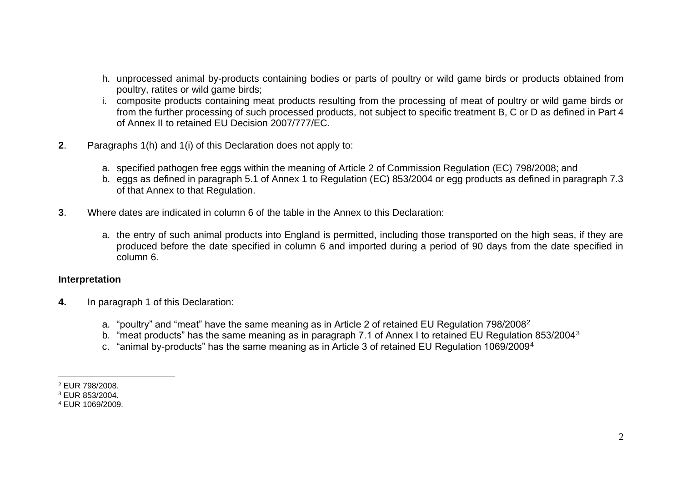- h. unprocessed animal by-products containing bodies or parts of poultry or wild game birds or products obtained from poultry, ratites or wild game birds;
- i. composite products containing meat products resulting from the processing of meat of poultry or wild game birds or from the further processing of such processed products, not subject to specific treatment B, C or D as defined in Part 4 of Annex II to retained EU Decision 2007/777/EC.
- **2**. Paragraphs 1(h) and 1(i) of this Declaration does not apply to:
	- a. specified pathogen free eggs within the meaning of Article 2 of Commission Regulation (EC) 798/2008; and
	- b. eggs as defined in paragraph 5.1 of Annex 1 to Regulation (EC) 853/2004 or egg products as defined in paragraph 7.3 of that Annex to that Regulation.
- **3**. Where dates are indicated in column 6 of the table in the Annex to this Declaration:
	- a. the entry of such animal products into England is permitted, including those transported on the high seas, if they are produced before the date specified in column 6 and imported during a period of 90 days from the date specified in column 6.

#### **Interpretation**

- **4.** In paragraph 1 of this Declaration:
	- a. "poultry" and "meat" have the same meaning as in Article 2 of retained EU Regulation 798/2008<sup>2</sup>
	- b. "meat products" has the same meaning as in paragraph 7.1 of Annex I to retained EU Regulation 853/2004<sup>3</sup>
	- c. "animal by-products" has the same meaning as in Article 3 of retained EU Regulation 1069/2009<sup>4</sup>

<sup>2</sup> EUR 798/2008.

<sup>3</sup> EUR 853/2004.

<sup>4</sup> EUR 1069/2009.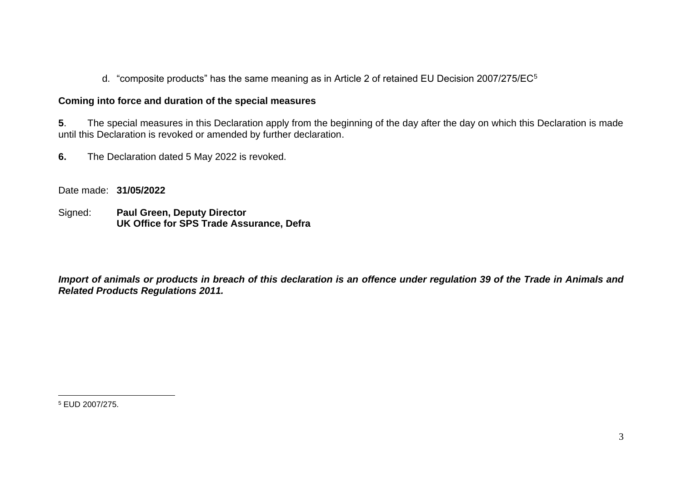d. "composite products" has the same meaning as in Article 2 of retained EU Decision 2007/275/EC<sup>5</sup>

# **Coming into force and duration of the special measures**

**5**. The special measures in this Declaration apply from the beginning of the day after the day on which this Declaration is made until this Declaration is revoked or amended by further declaration.

**6.** The Declaration dated 5 May 2022 is revoked.

Date made: **31/05/2022**

Signed: **Paul Green, Deputy Director UK Office for SPS Trade Assurance, Defra**

*Import of animals or products in breach of this declaration is an offence under regulation 39 of the Trade in Animals and Related Products Regulations 2011.*

<sup>5</sup> EUD 2007/275.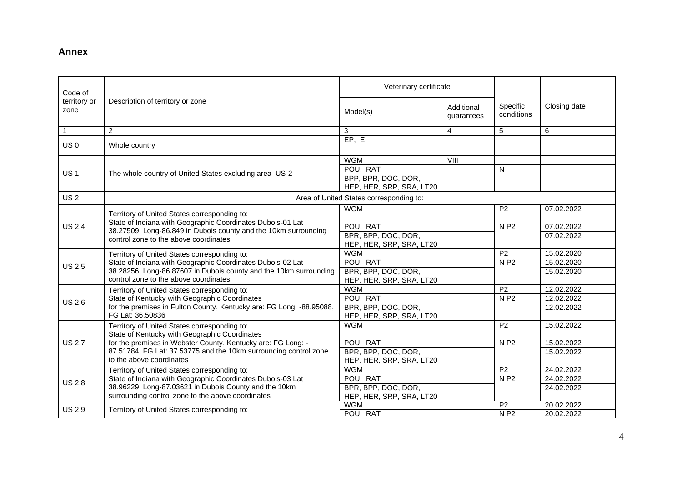## **Annex**

| Code of              |                                                                                                            | Veterinary certificate                          |                          |                        |              |
|----------------------|------------------------------------------------------------------------------------------------------------|-------------------------------------------------|--------------------------|------------------------|--------------|
| territory or<br>zone | Description of territory or zone                                                                           | Model(s)                                        | Additional<br>guarantees | Specific<br>conditions | Closing date |
| $\overline{1}$       | $\overline{2}$                                                                                             | 3                                               | 4                        | 5                      | 6            |
| US <sub>0</sub>      | Whole country                                                                                              | EP, E                                           |                          |                        |              |
|                      |                                                                                                            | <b>WGM</b>                                      | VIII                     |                        |              |
| <b>US1</b>           | The whole country of United States excluding area US-2                                                     | POU, RAT                                        |                          | N                      |              |
|                      |                                                                                                            | BPP, BPR, DOC, DOR,<br>HEP, HER, SRP, SRA, LT20 |                          |                        |              |
| US <sub>2</sub>      |                                                                                                            | Area of United States corresponding to:         |                          |                        |              |
|                      | Territory of United States corresponding to:                                                               | <b>WGM</b>                                      |                          | P <sub>2</sub>         | 07.02.2022   |
| <b>US 2.4</b>        | State of Indiana with Geographic Coordinates Dubois-01 Lat                                                 | POU, RAT                                        |                          | <b>NP2</b>             | 07.02.2022   |
|                      | 38.27509, Long-86.849 in Dubois county and the 10km surrounding<br>control zone to the above coordinates   | BPR, BPP, DOC, DOR,<br>HEP, HER, SRP, SRA, LT20 |                          |                        | 07.02.2022   |
|                      | Territory of United States corresponding to:                                                               | <b>WGM</b>                                      |                          | P <sub>2</sub>         | 15.02.2020   |
| <b>US 2.5</b>        | State of Indiana with Geographic Coordinates Dubois-02 Lat                                                 | POU, RAT                                        |                          | N P2                   | 15.02.2020   |
|                      | 38.28256, Long-86.87607 in Dubois county and the 10km surrounding<br>control zone to the above coordinates | BPR, BPP, DOC, DOR,<br>HEP, HER, SRP, SRA, LT20 |                          |                        | 15.02.2020   |
|                      | Territory of United States corresponding to:                                                               | <b>WGM</b>                                      |                          | $\overline{P2}$        | 12.02.2022   |
| <b>US 2.6</b>        | State of Kentucky with Geographic Coordinates                                                              | POU, RAT                                        |                          | N P2                   | 12.02.2022   |
|                      | for the premises in Fulton County, Kentucky are: FG Long: -88.95088,<br>FG Lat: 36.50836                   | BPR, BPP, DOC, DOR,<br>HEP, HER, SRP, SRA, LT20 |                          |                        | 12.02.2022   |
|                      | Territory of United States corresponding to:<br>State of Kentucky with Geographic Coordinates              | <b>WGM</b>                                      |                          | P <sub>2</sub>         | 15.02.2022   |
| <b>US 2.7</b>        | for the premises in Webster County, Kentucky are: FG Long: -                                               | POU, RAT                                        |                          | <b>NP2</b>             | 15.02.2022   |
|                      | 87.51784, FG Lat: 37.53775 and the 10km surrounding control zone<br>to the above coordinates               | BPR, BPP, DOC, DOR,<br>HEP, HER, SRP, SRA, LT20 |                          |                        | 15.02.2022   |
|                      | Territory of United States corresponding to:                                                               | <b>WGM</b>                                      |                          | P <sub>2</sub>         | 24.02.2022   |
| <b>US 2.8</b>        | State of Indiana with Geographic Coordinates Dubois-03 Lat                                                 | POU, RAT                                        |                          | <b>NP2</b>             | 24.02.2022   |
|                      | 38.96229, Long-87.03621 in Dubois County and the 10km                                                      | BPR, BPP, DOC, DOR,                             |                          |                        | 24.02.2022   |
|                      | surrounding control zone to the above coordinates                                                          | HEP, HER, SRP, SRA, LT20                        |                          |                        |              |
| <b>US 2.9</b>        | Territory of United States corresponding to:                                                               | <b>WGM</b>                                      |                          | P <sub>2</sub>         | 20.02.2022   |
|                      |                                                                                                            | POU, RAT                                        |                          | $N$ P <sub>2</sub>     | 20.02.2022   |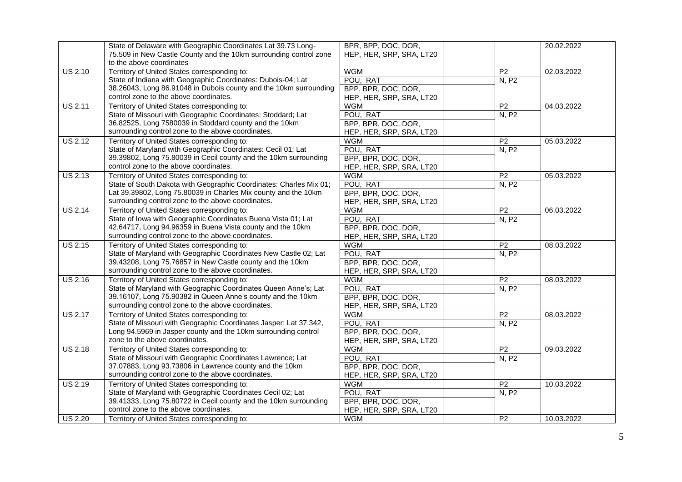|                | State of Delaware with Geographic Coordinates Lat 39.73 Long-      | BPR, BPP, DOC, DOR,      |                 | 20.02.2022 |
|----------------|--------------------------------------------------------------------|--------------------------|-----------------|------------|
|                | 75.509 in New Castle County and the 10km surrounding control zone  | HEP, HER, SRP, SRA, LT20 |                 |            |
|                | to the above coordinates                                           |                          |                 |            |
| <b>US 2.10</b> | Territory of United States corresponding to:                       | <b>WGM</b>               | P <sub>2</sub>  | 02.03.2022 |
|                | State of Indiana with Geographic Coordinates: Dubois-04; Lat       | POU, RAT                 | N, P2           |            |
|                | 38.26043, Long 86.91048 in Dubois county and the 10km surrounding  | BPP, BPR, DOC, DOR,      |                 |            |
|                | control zone to the above coordinates.                             | HEP, HER, SRP, SRA, LT20 |                 |            |
| <b>US 2.11</b> | Territory of United States corresponding to:                       | <b>WGM</b>               | $\overline{P2}$ | 04.03.2022 |
|                | State of Missouri with Geographic Coordinates: Stoddard; Lat       | POU, RAT                 | N, P2           |            |
|                | 36.82525, Long 7580039 in Stoddard county and the 10km             | BPP, BPR, DOC, DOR,      |                 |            |
|                | surrounding control zone to the above coordinates.                 | HEP, HER, SRP, SRA, LT20 |                 |            |
| <b>US 2.12</b> | Territory of United States corresponding to:                       | <b>WGM</b>               | P <sub>2</sub>  | 05.03.2022 |
|                | State of Maryland with Geographic Coordinates: Cecil 01; Lat       | POU, RAT                 | N, P2           |            |
|                | 39.39802, Long 75.80039 in Cecil county and the 10km surrounding   | BPP, BPR, DOC, DOR,      |                 |            |
|                | control zone to the above coordinates.                             | HEP, HER, SRP, SRA, LT20 |                 |            |
| <b>US 2.13</b> | Territory of United States corresponding to:                       | <b>WGM</b>               | P <sub>2</sub>  | 05.03.2022 |
|                | State of South Dakota with Geographic Coordinates: Charles Mix 01; | POU, RAT                 | N, P2           |            |
|                | Lat 39.39802, Long 75.80039 in Charles Mix county and the 10km     | BPP, BPR, DOC, DOR,      |                 |            |
|                | surrounding control zone to the above coordinates.                 | HEP, HER, SRP, SRA, LT20 |                 |            |
| <b>US 2.14</b> | Territory of United States corresponding to:                       | <b>WGM</b>               | P <sub>2</sub>  | 06.03.2022 |
|                | State of Iowa with Geographic Coordinates Buena Vista 01; Lat      | POU, RAT                 | N, P2           |            |
|                | 42.64717, Long 94.96359 in Buena Vista county and the 10km         | BPP, BPR, DOC, DOR,      |                 |            |
|                | surrounding control zone to the above coordinates.                 | HEP, HER, SRP, SRA, LT20 |                 |            |
| <b>US 2.15</b> | Territory of United States corresponding to:                       | <b>WGM</b>               | $\overline{P2}$ | 08.03.2022 |
|                | State of Maryland with Geographic Coordinates New Castle 02; Lat   | POU, RAT                 | N, P2           |            |
|                | 39.43208, Long 75.76857 in New Castle county and the 10km          | BPP, BPR, DOC, DOR,      |                 |            |
|                | surrounding control zone to the above coordinates.                 | HEP, HER, SRP, SRA, LT20 |                 |            |
| <b>US 2.16</b> | Territory of United States corresponding to:                       | <b>WGM</b>               | P <sub>2</sub>  | 08.03.2022 |
|                | State of Maryland with Geographic Coordinates Queen Anne's; Lat    | POU, RAT                 | N, P2           |            |
|                | 39.16107, Long 75.90382 in Queen Anne's county and the 10km        | BPP, BPR, DOC, DOR,      |                 |            |
|                | surrounding control zone to the above coordinates.                 | HEP, HER, SRP, SRA, LT20 |                 |            |
| <b>US 2.17</b> | Territory of United States corresponding to:                       | <b>WGM</b>               | P <sub>2</sub>  | 08.03.2022 |
|                | State of Missouri with Geographic Coordinates Jasper; Lat 37.342,  | POU, RAT                 | <b>N, P2</b>    |            |
|                | Long 94.5969 in Jasper county and the 10km surrounding control     | BPP, BPR, DOC, DOR,      |                 |            |
|                | zone to the above coordinates.                                     | HEP, HER, SRP, SRA, LT20 |                 |            |
| <b>US 2.18</b> | Territory of United States corresponding to:                       | <b>WGM</b>               | P <sub>2</sub>  | 09.03.2022 |
|                | State of Missouri with Geographic Coordinates Lawrence; Lat        | POU, RAT                 | N, P2           |            |
|                | 37.07883, Long 93.73806 in Lawrence county and the 10km            | BPP, BPR, DOC, DOR,      |                 |            |
|                | surrounding control zone to the above coordinates.                 | HEP, HER, SRP, SRA, LT20 |                 |            |
| <b>US 2.19</b> | Territory of United States corresponding to:                       | <b>WGM</b>               | P <sub>2</sub>  | 10.03.2022 |
|                | State of Maryland with Geographic Coordinates Cecil 02; Lat        | POU, RAT                 | N, P2           |            |
|                | 39.41333, Long 75.80722 in Cecil county and the 10km surrounding   | BPP, BPR, DOC, DOR,      |                 |            |
|                | control zone to the above coordinates.                             | HEP, HER, SRP, SRA, LT20 |                 |            |
| <b>US 2.20</b> | Territory of United States corresponding to:                       | <b>WGM</b>               | $\overline{P2}$ | 10.03.2022 |
|                |                                                                    |                          |                 |            |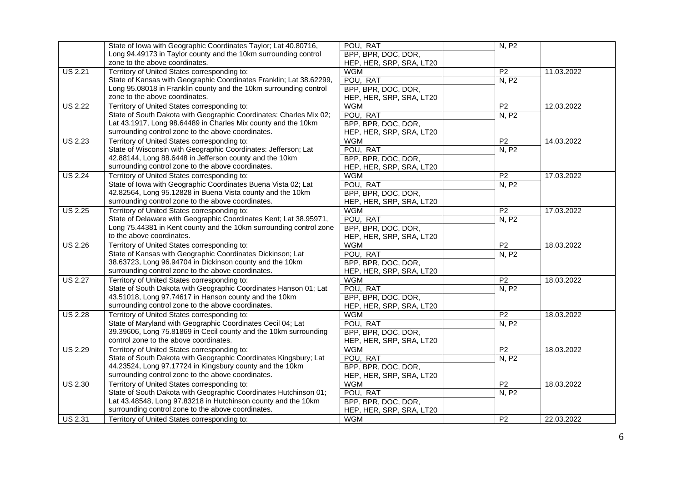|                      | State of Iowa with Geographic Coordinates Taylor; Lat 40.80716,     | POU, RAT                 | N, P2           |            |
|----------------------|---------------------------------------------------------------------|--------------------------|-----------------|------------|
|                      | Long 94.49173 in Taylor county and the 10km surrounding control     | BPP, BPR, DOC, DOR,      |                 |            |
|                      | zone to the above coordinates.                                      | HEP, HER, SRP, SRA, LT20 |                 |            |
| $\overline{US 2.21}$ | Territory of United States corresponding to:                        | <b>WGM</b>               | P <sub>2</sub>  | 11.03.2022 |
|                      | State of Kansas with Geographic Coordinates Franklin; Lat 38.62299, | POU, RAT                 | N, P2           |            |
|                      | Long 95.08018 in Franklin county and the 10km surrounding control   | BPP, BPR, DOC, DOR,      |                 |            |
|                      | zone to the above coordinates.                                      | HEP, HER, SRP, SRA, LT20 |                 |            |
| <b>US 2.22</b>       | Territory of United States corresponding to:                        | <b>WGM</b>               | P <sub>2</sub>  | 12.03.2022 |
|                      | State of South Dakota with Geographic Coordinates: Charles Mix 02;  | POU, RAT                 | N, P2           |            |
|                      | Lat 43.1917, Long 98.64489 in Charles Mix county and the 10km       | BPP, BPR, DOC, DOR,      |                 |            |
|                      | surrounding control zone to the above coordinates.                  | HEP, HER, SRP, SRA, LT20 |                 |            |
| <b>US 2.23</b>       | Territory of United States corresponding to:                        | <b>WGM</b>               | P <sub>2</sub>  | 14.03.2022 |
|                      | State of Wisconsin with Geographic Coordinates: Jefferson; Lat      | POU, RAT                 | N, P2           |            |
|                      | 42.88144, Long 88.6448 in Jefferson county and the 10km             | BPP, BPR, DOC, DOR,      |                 |            |
|                      | surrounding control zone to the above coordinates.                  | HEP, HER, SRP, SRA, LT20 |                 |            |
| <b>US 2.24</b>       | Territory of United States corresponding to:                        | <b>WGM</b>               | P <sub>2</sub>  | 17.03.2022 |
|                      | State of Iowa with Geographic Coordinates Buena Vista 02; Lat       | POU, RAT                 | N, P2           |            |
|                      | 42.82564, Long 95.12828 in Buena Vista county and the 10km          | BPP, BPR, DOC, DOR,      |                 |            |
|                      | surrounding control zone to the above coordinates.                  | HEP, HER, SRP, SRA, LT20 |                 |            |
| <b>US 2.25</b>       | Territory of United States corresponding to:                        | <b>WGM</b>               | P <sub>2</sub>  | 17.03.2022 |
|                      | State of Delaware with Geographic Coordinates Kent; Lat 38.95971,   | POU, RAT                 | N, P2           |            |
|                      | Long 75.44381 in Kent county and the 10km surrounding control zone  | BPP, BPR, DOC, DOR,      |                 |            |
|                      | to the above coordinates.                                           | HEP, HER, SRP, SRA, LT20 |                 |            |
| <b>US 2.26</b>       | Territory of United States corresponding to:                        | <b>WGM</b>               | $\overline{P2}$ | 18.03.2022 |
|                      | State of Kansas with Geographic Coordinates Dickinson; Lat          | POU, RAT                 | N, P2           |            |
|                      | 38.63723, Long 96.94704 in Dickinson county and the 10km            | BPP, BPR, DOC, DOR,      |                 |            |
|                      | surrounding control zone to the above coordinates.                  | HEP, HER, SRP, SRA, LT20 |                 |            |
| <b>US 2.27</b>       | Territory of United States corresponding to:                        | <b>WGM</b>               | P <sub>2</sub>  | 18.03.2022 |
|                      | State of South Dakota with Geographic Coordinates Hanson 01; Lat    | POU, RAT                 | N, P2           |            |
|                      | 43.51018, Long 97.74617 in Hanson county and the 10km               | BPP, BPR, DOC, DOR,      |                 |            |
|                      | surrounding control zone to the above coordinates.                  | HEP, HER, SRP, SRA, LT20 |                 |            |
| <b>US 2.28</b>       | Territory of United States corresponding to:                        | <b>WGM</b>               | P <sub>2</sub>  | 18.03.2022 |
|                      | State of Maryland with Geographic Coordinates Cecil 04; Lat         | POU, RAT                 | N, P2           |            |
|                      | 39.39606, Long 75.81869 in Cecil county and the 10km surrounding    | BPP, BPR, DOC, DOR,      |                 |            |
|                      | control zone to the above coordinates.                              | HEP, HER, SRP, SRA, LT20 |                 |            |
| <b>US 2.29</b>       | Territory of United States corresponding to:                        | <b>WGM</b>               | P <sub>2</sub>  | 18.03.2022 |
|                      | State of South Dakota with Geographic Coordinates Kingsbury; Lat    | POU, RAT                 | N, P2           |            |
|                      | 44.23524, Long 97.17724 in Kingsbury county and the 10km            | BPP, BPR, DOC, DOR,      |                 |            |
|                      | surrounding control zone to the above coordinates.                  | HEP, HER, SRP, SRA, LT20 |                 |            |
| <b>US 2.30</b>       | Territory of United States corresponding to:                        | <b>WGM</b>               | P <sub>2</sub>  | 18.03.2022 |
|                      | State of South Dakota with Geographic Coordinates Hutchinson 01;    | POU, RAT                 | N, P2           |            |
|                      | Lat 43.48548, Long 97.83218 in Hutchinson county and the 10km       | BPP, BPR, DOC, DOR,      |                 |            |
|                      | surrounding control zone to the above coordinates.                  | HEP, HER, SRP, SRA, LT20 |                 |            |
| <b>US 2.31</b>       | Territory of United States corresponding to:                        | <b>WGM</b>               | P <sub>2</sub>  | 22.03.2022 |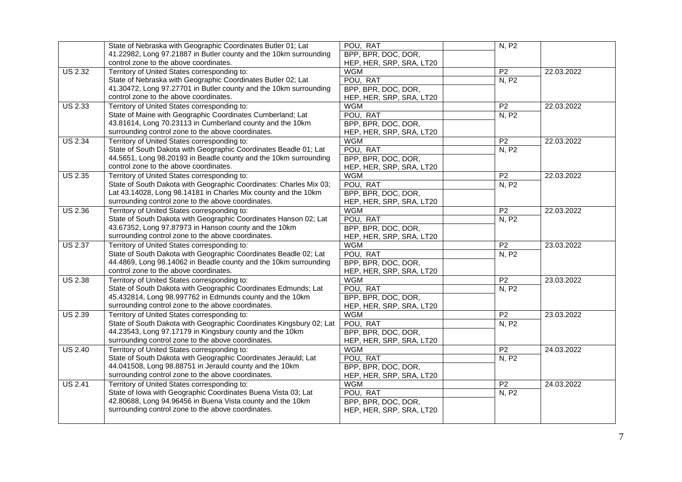|                      | State of Nebraska with Geographic Coordinates Butler 01; Lat        | POU, RAT                 | N, P2           |            |
|----------------------|---------------------------------------------------------------------|--------------------------|-----------------|------------|
|                      | 41.22982, Long 97.21887 in Butler county and the 10km surrounding   | BPP, BPR, DOC, DOR,      |                 |            |
|                      | control zone to the above coordinates.                              | HEP, HER, SRP, SRA, LT20 |                 |            |
| <b>US 2.32</b>       | Territory of United States corresponding to:                        | <b>WGM</b>               | P <sub>2</sub>  | 22.03.2022 |
|                      | State of Nebraska with Geographic Coordinates Butler 02; Lat        | POU, RAT                 | N, P2           |            |
|                      | 41.30472, Long 97.27701 in Butler county and the 10km surrounding   | BPP, BPR, DOC, DOR,      |                 |            |
|                      | control zone to the above coordinates.                              | HEP, HER, SRP, SRA, LT20 |                 |            |
| <b>US 2.33</b>       | Territory of United States corresponding to:                        | <b>WGM</b>               | P <sub>2</sub>  | 22.03.2022 |
|                      | State of Maine with Geographic Coordinates Cumberland; Lat          | POU, RAT                 | N, P2           |            |
|                      | 43.81614, Long 70.23113 in Cumberland county and the 10km           | BPP, BPR, DOC, DOR,      |                 |            |
|                      | surrounding control zone to the above coordinates.                  | HEP, HER, SRP, SRA, LT20 |                 |            |
| <b>US 2.34</b>       | Territory of United States corresponding to:                        | <b>WGM</b>               | $\overline{P2}$ | 22.03.2022 |
|                      | State of South Dakota with Geographic Coordinates Beadle 01; Lat    | POU, RAT                 | N, P2           |            |
|                      | 44.5651, Long 98.20193 in Beadle county and the 10km surrounding    | BPP, BPR, DOC, DOR,      |                 |            |
|                      | control zone to the above coordinates.                              | HEP, HER, SRP, SRA, LT20 |                 |            |
| <b>US 2.35</b>       | Territory of United States corresponding to:                        | <b>WGM</b>               | $\overline{P2}$ | 22.03.2022 |
|                      | State of South Dakota with Geographic Coordinates: Charles Mix 03;  | POU, RAT                 | N, P2           |            |
|                      | Lat 43.14028, Long 98.14181 in Charles Mix county and the 10km      | BPP, BPR, DOC, DOR,      |                 |            |
|                      | surrounding control zone to the above coordinates.                  | HEP, HER, SRP, SRA, LT20 |                 |            |
| <b>US 2.36</b>       | Territory of United States corresponding to:                        | <b>WGM</b>               | P <sub>2</sub>  | 22.03.2022 |
|                      | State of South Dakota with Geographic Coordinates Hanson 02; Lat    | POU, RAT                 | N, P2           |            |
|                      | 43.67352, Long 97.87973 in Hanson county and the 10km               | BPP, BPR, DOC, DOR,      |                 |            |
|                      | surrounding control zone to the above coordinates.                  | HEP, HER, SRP, SRA, LT20 |                 |            |
| <b>US 2.37</b>       | Territory of United States corresponding to:                        | <b>WGM</b>               | P <sub>2</sub>  | 23.03.2022 |
|                      | State of South Dakota with Geographic Coordinates Beadle 02; Lat    | POU, RAT                 | N, P2           |            |
|                      | 44.4869, Long 98.14062 in Beadle county and the 10km surrounding    | BPP, BPR, DOC, DOR,      |                 |            |
|                      | control zone to the above coordinates.                              | HEP, HER, SRP, SRA, LT20 |                 |            |
| <b>US 2.38</b>       | Territory of United States corresponding to:                        | <b>WGM</b>               | P <sub>2</sub>  | 23.03.2022 |
|                      | State of South Dakota with Geographic Coordinates Edmunds; Lat      | POU, RAT                 | N, P2           |            |
|                      | 45.432814, Long 98.997762 in Edmunds county and the 10km            | BPP, BPR, DOC, DOR,      |                 |            |
|                      | surrounding control zone to the above coordinates.                  | HEP, HER, SRP, SRA, LT20 |                 |            |
| <b>US 2.39</b>       | Territory of United States corresponding to:                        | <b>WGM</b>               | P <sub>2</sub>  | 23.03.2022 |
|                      | State of South Dakota with Geographic Coordinates Kingsbury 02; Lat | POU, RAT                 | N, P2           |            |
|                      | 44.23543, Long 97.17179 in Kingsbury county and the 10km            | BPP, BPR, DOC, DOR,      |                 |            |
|                      | surrounding control zone to the above coordinates.                  | HEP, HER, SRP, SRA, LT20 |                 |            |
| <b>US 2.40</b>       | Territory of United States corresponding to:                        | <b>WGM</b>               | P <sub>2</sub>  | 24.03.2022 |
|                      | State of South Dakota with Geographic Coordinates Jerauld; Lat      | POU, RAT                 | N, P2           |            |
|                      | 44.041508, Long 98.88751 in Jerauld county and the 10km             | BPP, BPR, DOC, DOR,      |                 |            |
|                      | surrounding control zone to the above coordinates.                  | HEP, HER, SRP, SRA, LT20 |                 |            |
| $\overline{US}$ 2.41 | Territory of United States corresponding to:                        | <b>WGM</b>               | $\overline{P2}$ | 24.03.2022 |
|                      | State of Iowa with Geographic Coordinates Buena Vista 03; Lat       | POU, RAT                 | N, P2           |            |
|                      | 42.80688, Long 94.96456 in Buena Vista county and the 10km          | BPP, BPR, DOC, DOR,      |                 |            |
|                      | surrounding control zone to the above coordinates.                  | HEP, HER, SRP, SRA, LT20 |                 |            |
|                      |                                                                     |                          |                 |            |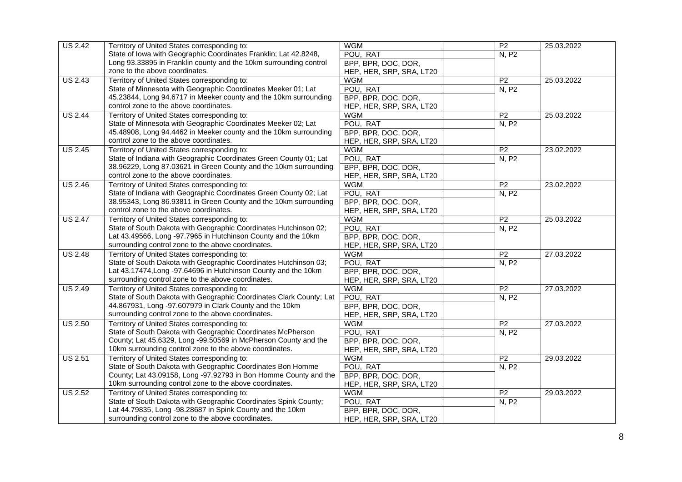| <b>US 2.42</b> | Territory of United States corresponding to:                                                                     | <b>WGM</b>               | $\overline{P2}$ | 25.03.2022 |
|----------------|------------------------------------------------------------------------------------------------------------------|--------------------------|-----------------|------------|
|                | State of Iowa with Geographic Coordinates Franklin; Lat 42.8248,                                                 | POU, RAT                 | N, P2           |            |
|                |                                                                                                                  |                          |                 |            |
|                | Long 93.33895 in Franklin county and the 10km surrounding control                                                | BPP, BPR, DOC, DOR,      |                 |            |
|                | zone to the above coordinates.                                                                                   | HEP, HER, SRP, SRA, LT20 |                 |            |
| <b>US 2.43</b> | Territory of United States corresponding to:                                                                     | <b>WGM</b>               | P <sub>2</sub>  | 25.03.2022 |
|                | State of Minnesota with Geographic Coordinates Meeker 01; Lat                                                    | POU, RAT                 | N, P2           |            |
|                | 45.23844, Long 94.6717 in Meeker county and the 10km surrounding                                                 | BPP, BPR, DOC, DOR,      |                 |            |
|                | control zone to the above coordinates.                                                                           | HEP, HER, SRP, SRA, LT20 |                 |            |
| <b>US 2.44</b> | Territory of United States corresponding to:                                                                     | <b>WGM</b>               | P <sub>2</sub>  | 25.03.2022 |
|                | State of Minnesota with Geographic Coordinates Meeker 02; Lat                                                    | POU, RAT                 | N, P2           |            |
|                | 45.48908, Long 94.4462 in Meeker county and the 10km surrounding                                                 | BPP, BPR, DOC, DOR,      |                 |            |
|                | control zone to the above coordinates.                                                                           | HEP, HER, SRP, SRA, LT20 |                 |            |
| <b>US 2.45</b> | Territory of United States corresponding to:                                                                     | <b>WGM</b>               | $\overline{P2}$ | 23.02.2022 |
|                | State of Indiana with Geographic Coordinates Green County 01; Lat                                                | POU, RAT                 | N, P2           |            |
|                | 38.96229, Long 87.03621 in Green County and the 10km surrounding                                                 | BPP, BPR, DOC, DOR,      |                 |            |
|                | control zone to the above coordinates.                                                                           | HEP, HER, SRP, SRA, LT20 |                 |            |
| <b>US 2.46</b> | Territory of United States corresponding to:                                                                     | <b>WGM</b>               | P <sub>2</sub>  | 23.02.2022 |
|                | State of Indiana with Geographic Coordinates Green County 02; Lat                                                | POU, RAT                 | N, P2           |            |
|                | 38.95343, Long 86.93811 in Green County and the 10km surrounding                                                 | BPP, BPR, DOC, DOR,      |                 |            |
|                | control zone to the above coordinates.                                                                           | HEP, HER, SRP, SRA, LT20 |                 |            |
| <b>US 2.47</b> |                                                                                                                  | <b>WGM</b>               | P <sub>2</sub>  | 25.03.2022 |
|                | Territory of United States corresponding to:<br>State of South Dakota with Geographic Coordinates Hutchinson 02; | POU, RAT                 |                 |            |
|                | Lat 43.49566, Long -97.7965 in Hutchinson County and the 10km                                                    |                          | N, P2           |            |
|                |                                                                                                                  | BPP, BPR, DOC, DOR,      |                 |            |
|                | surrounding control zone to the above coordinates.                                                               | HEP, HER, SRP, SRA, LT20 |                 |            |
| <b>US 2.48</b> | Territory of United States corresponding to:                                                                     | <b>WGM</b>               | P <sub>2</sub>  | 27.03.2022 |
|                | State of South Dakota with Geographic Coordinates Hutchinson 03;                                                 | POU, RAT                 | N, P2           |            |
|                | Lat 43.17474, Long -97.64696 in Hutchinson County and the 10km                                                   | BPP, BPR, DOC, DOR,      |                 |            |
|                | surrounding control zone to the above coordinates.                                                               | HEP, HER, SRP, SRA, LT20 |                 |            |
| <b>US 2.49</b> | Territory of United States corresponding to:                                                                     | <b>WGM</b>               | P <sub>2</sub>  | 27.03.2022 |
|                | State of South Dakota with Geographic Coordinates Clark County; Lat                                              | POU, RAT                 | N, P2           |            |
|                | 44.867931, Long -97.607979 in Clark County and the 10km                                                          | BPP, BPR, DOC, DOR,      |                 |            |
|                | surrounding control zone to the above coordinates.                                                               | HEP, HER, SRP, SRA, LT20 |                 |            |
| <b>US 2.50</b> | Territory of United States corresponding to:                                                                     | <b>WGM</b>               | P <sub>2</sub>  | 27.03.2022 |
|                | State of South Dakota with Geographic Coordinates McPherson                                                      | POU, RAT                 | N, P2           |            |
|                | County; Lat 45.6329, Long -99.50569 in McPherson County and the                                                  | BPP, BPR, DOC, DOR,      |                 |            |
|                | 10km surrounding control zone to the above coordinates.                                                          | HEP, HER, SRP, SRA, LT20 |                 |            |
| <b>US 2.51</b> | Territory of United States corresponding to:                                                                     | <b>WGM</b>               | P <sub>2</sub>  | 29.03.2022 |
|                | State of South Dakota with Geographic Coordinates Bon Homme                                                      | POU, RAT                 | <b>N, P2</b>    |            |
|                | County; Lat 43.09158, Long -97.92793 in Bon Homme County and the                                                 | BPP, BPR, DOC, DOR,      |                 |            |
|                | 10km surrounding control zone to the above coordinates.                                                          | HEP, HER, SRP, SRA, LT20 |                 |            |
| <b>US 2.52</b> | Territory of United States corresponding to:                                                                     | <b>WGM</b>               | $\overline{P2}$ | 29.03.2022 |
|                | State of South Dakota with Geographic Coordinates Spink County;                                                  | POU, RAT                 | N, P2           |            |
|                | Lat 44.79835, Long -98.28687 in Spink County and the 10km                                                        | BPP, BPR, DOC, DOR,      |                 |            |
|                |                                                                                                                  |                          |                 |            |
|                | surrounding control zone to the above coordinates.                                                               | HEP, HER, SRP, SRA, LT20 |                 |            |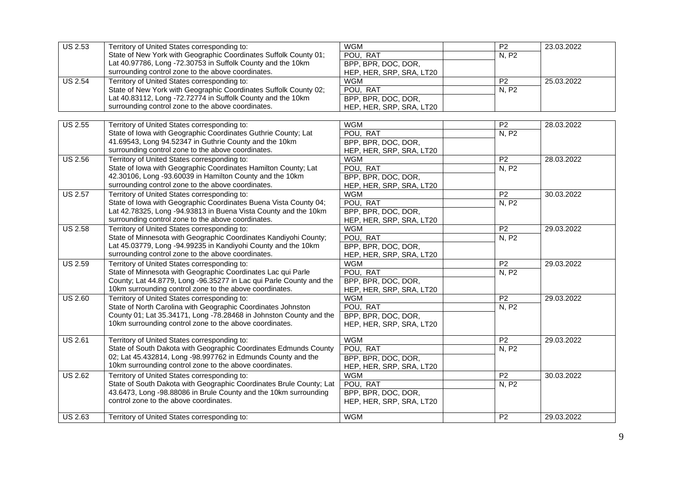| <b>US 2.53</b> | Territory of United States corresponding to:                        | <b>WGM</b>               | P <sub>2</sub>  | 23.03.2022 |
|----------------|---------------------------------------------------------------------|--------------------------|-----------------|------------|
|                | State of New York with Geographic Coordinates Suffolk County 01;    | POU, RAT                 | N, P2           |            |
|                | Lat 40.97786, Long -72.30753 in Suffolk County and the 10km         | BPP, BPR, DOC, DOR,      |                 |            |
|                | surrounding control zone to the above coordinates.                  | HEP, HER, SRP, SRA, LT20 |                 |            |
| <b>US 2.54</b> | Territory of United States corresponding to:                        | <b>WGM</b>               | P <sub>2</sub>  | 25.03.2022 |
|                | State of New York with Geographic Coordinates Suffolk County 02;    | POU, RAT                 | N, P2           |            |
|                | Lat 40.83112, Long -72.72774 in Suffolk County and the 10km         | BPP, BPR, DOC, DOR,      |                 |            |
|                | surrounding control zone to the above coordinates.                  | HEP, HER, SRP, SRA, LT20 |                 |            |
|                |                                                                     |                          |                 |            |
| <b>US 2.55</b> | Territory of United States corresponding to:                        | <b>WGM</b>               | P <sub>2</sub>  | 28.03.2022 |
|                | State of Iowa with Geographic Coordinates Guthrie County; Lat       | POU, RAT                 | N, P2           |            |
|                | 41.69543, Long 94.52347 in Guthrie County and the 10km              | BPP, BPR, DOC, DOR,      |                 |            |
|                | surrounding control zone to the above coordinates.                  | HEP, HER, SRP, SRA, LT20 |                 |            |
| <b>US 2.56</b> | Territory of United States corresponding to:                        | <b>WGM</b>               | P <sub>2</sub>  | 28.03.2022 |
|                | State of Iowa with Geographic Coordinates Hamilton County; Lat      | POU, RAT                 | N, P2           |            |
|                | 42.30106, Long -93.60039 in Hamilton County and the 10km            | BPP, BPR, DOC, DOR,      |                 |            |
|                | surrounding control zone to the above coordinates.                  | HEP, HER, SRP, SRA, LT20 |                 |            |
| <b>US 2.57</b> | Territory of United States corresponding to:                        | <b>WGM</b>               | P <sub>2</sub>  | 30.03.2022 |
|                | State of Iowa with Geographic Coordinates Buena Vista County 04;    | POU, RAT                 | N, P2           |            |
|                | Lat 42.78325, Long -94.93813 in Buena Vista County and the 10km     | BPP, BPR, DOC, DOR,      |                 |            |
|                | surrounding control zone to the above coordinates.                  | HEP, HER, SRP, SRA, LT20 |                 |            |
| <b>US 2.58</b> | Territory of United States corresponding to:                        | <b>WGM</b>               | P <sub>2</sub>  | 29.03.2022 |
|                | State of Minnesota with Geographic Coordinates Kandiyohi County;    | POU, RAT                 | N, P2           |            |
|                | Lat 45.03779, Long -94.99235 in Kandiyohi County and the 10km       | BPP, BPR, DOC, DOR,      |                 |            |
|                | surrounding control zone to the above coordinates.                  | HEP, HER, SRP, SRA, LT20 |                 |            |
| <b>US 2.59</b> | Territory of United States corresponding to:                        | <b>WGM</b>               | P <sub>2</sub>  | 29.03.2022 |
|                | State of Minnesota with Geographic Coordinates Lac qui Parle        | POU, RAT                 | N, P2           |            |
|                | County; Lat 44.8779, Long -96.35277 in Lac qui Parle County and the | BPP, BPR, DOC, DOR,      |                 |            |
|                | 10km surrounding control zone to the above coordinates.             | HEP, HER, SRP, SRA, LT20 |                 |            |
| <b>US 2.60</b> | Territory of United States corresponding to:                        | <b>WGM</b>               | P <sub>2</sub>  | 29.03.2022 |
|                | State of North Carolina with Geographic Coordinates Johnston        | POU, RAT                 | N, P2           |            |
|                | County 01; Lat 35.34171, Long -78.28468 in Johnston County and the  | BPP, BPR, DOC, DOR,      |                 |            |
|                | 10km surrounding control zone to the above coordinates.             | HEP, HER, SRP, SRA, LT20 |                 |            |
| <b>US 2.61</b> | Territory of United States corresponding to:                        | <b>WGM</b>               | $\overline{P2}$ | 29.03.2022 |
|                | State of South Dakota with Geographic Coordinates Edmunds County    | POU, RAT                 | N, P2           |            |
|                | 02; Lat 45.432814, Long -98.997762 in Edmunds County and the        | BPP, BPR, DOC, DOR,      |                 |            |
|                | 10km surrounding control zone to the above coordinates.             | HEP, HER, SRP, SRA, LT20 |                 |            |
| <b>US 2.62</b> | Territory of United States corresponding to:                        | <b>WGM</b>               | $\overline{P2}$ | 30.03.2022 |
|                | State of South Dakota with Geographic Coordinates Brule County; Lat | POU, RAT                 | N, P2           |            |
|                | 43.6473, Long -98.88086 in Brule County and the 10km surrounding    | BPP, BPR, DOC, DOR,      |                 |            |
|                | control zone to the above coordinates.                              | HEP, HER, SRP, SRA, LT20 |                 |            |
|                |                                                                     |                          |                 |            |
| <b>US 2.63</b> | Territory of United States corresponding to:                        | <b>WGM</b>               | $\overline{P2}$ | 29.03.2022 |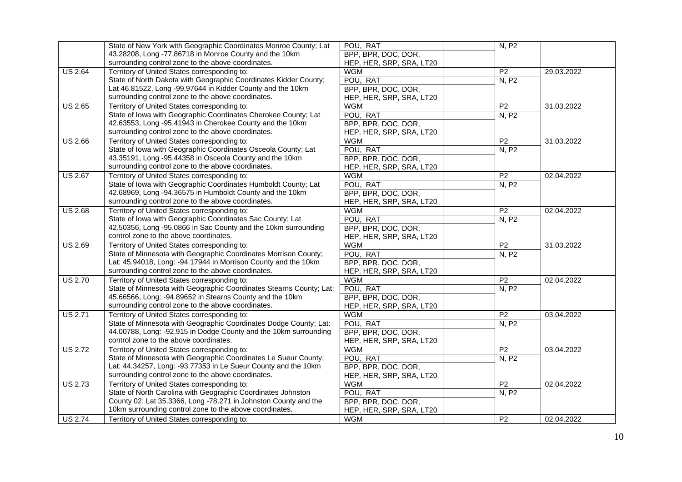|                | State of New York with Geographic Coordinates Monroe County; Lat    | POU, RAT                 | N, P2           |            |
|----------------|---------------------------------------------------------------------|--------------------------|-----------------|------------|
|                | 43.28208, Long -77.86718 in Monroe County and the 10km              | BPP, BPR, DOC, DOR,      |                 |            |
|                | surrounding control zone to the above coordinates.                  | HEP, HER, SRP, SRA, LT20 |                 |            |
| <b>US 2.64</b> | Territory of United States corresponding to:                        | <b>WGM</b>               | P <sub>2</sub>  | 29.03.2022 |
|                | State of North Dakota with Geographic Coordinates Kidder County;    | POU, RAT                 | N, P2           |            |
|                | Lat 46.81522, Long -99.97644 in Kidder County and the 10km          | BPP, BPR, DOC, DOR,      |                 |            |
|                | surrounding control zone to the above coordinates.                  | HEP, HER, SRP, SRA, LT20 |                 |            |
| <b>US 2.65</b> | Territory of United States corresponding to:                        | <b>WGM</b>               | P <sub>2</sub>  | 31.03.2022 |
|                | State of Iowa with Geographic Coordinates Cherokee County; Lat      | POU, RAT                 | N, P2           |            |
|                | 42.63553, Long -95.41943 in Cherokee County and the 10km            | BPP, BPR, DOC, DOR,      |                 |            |
|                | surrounding control zone to the above coordinates.                  | HEP, HER, SRP, SRA, LT20 |                 |            |
| <b>US 2.66</b> | Territory of United States corresponding to:                        | <b>WGM</b>               | P <sub>2</sub>  | 31.03.2022 |
|                | State of Iowa with Geographic Coordinates Osceola County; Lat       | POU, RAT                 | N, P2           |            |
|                | 43.35191, Long -95.44358 in Osceola County and the 10km             | BPP, BPR, DOC, DOR,      |                 |            |
|                | surrounding control zone to the above coordinates.                  | HEP, HER, SRP, SRA, LT20 |                 |            |
| <b>US 2.67</b> | Territory of United States corresponding to:                        | <b>WGM</b>               | P <sub>2</sub>  | 02.04.2022 |
|                | State of Iowa with Geographic Coordinates Humboldt County; Lat      | POU, RAT                 | N, P2           |            |
|                | 42.68969, Long -94.36575 in Humboldt County and the 10km            | BPP, BPR, DOC, DOR,      |                 |            |
|                | surrounding control zone to the above coordinates.                  | HEP, HER, SRP, SRA, LT20 |                 |            |
| <b>US 2.68</b> | Territory of United States corresponding to:                        | <b>WGM</b>               | P <sub>2</sub>  | 02.04.2022 |
|                | State of Iowa with Geographic Coordinates Sac County; Lat           | POU, RAT                 | N, P2           |            |
|                | 42.50356, Long -95.0866 in Sac County and the 10km surrounding      | BPP, BPR, DOC, DOR,      |                 |            |
|                | control zone to the above coordinates.                              | HEP, HER, SRP, SRA, LT20 |                 |            |
| <b>US 2.69</b> | Territory of United States corresponding to:                        | <b>WGM</b>               | $\overline{P2}$ | 31.03.2022 |
|                | State of Minnesota with Geographic Coordinates Morrison County;     | POU, RAT                 | N, P2           |            |
|                | Lat: 45.94018, Long: -94.17944 in Morrison County and the 10km      | BPP, BPR, DOC, DOR,      |                 |            |
|                | surrounding control zone to the above coordinates.                  | HEP, HER, SRP, SRA, LT20 |                 |            |
| <b>US 2.70</b> | Territory of United States corresponding to:                        | <b>WGM</b>               | P <sub>2</sub>  | 02.04.2022 |
|                | State of Minnesota with Geographic Coordinates Stearns County; Lat: | POU, RAT                 | N, P2           |            |
|                | 45.66566, Long: -94.89652 in Stearns County and the 10km            | BPP, BPR, DOC, DOR,      |                 |            |
|                | surrounding control zone to the above coordinates.                  | HEP, HER, SRP, SRA, LT20 |                 |            |
| <b>US 2.71</b> | Territory of United States corresponding to:                        | <b>WGM</b>               | P <sub>2</sub>  | 03.04.2022 |
|                | State of Minnesota with Geographic Coordinates Dodge County; Lat:   | POU, RAT                 | N, P2           |            |
|                | 44.00788, Long: -92.915 in Dodge County and the 10km surrounding    | BPP, BPR, DOC, DOR,      |                 |            |
|                | control zone to the above coordinates.                              | HEP, HER, SRP, SRA, LT20 |                 |            |
| <b>US 2.72</b> | Territory of United States corresponding to:                        | <b>WGM</b>               | P <sub>2</sub>  | 03.04.2022 |
|                | State of Minnesota with Geographic Coordinates Le Sueur County;     | POU, RAT                 | N, P2           |            |
|                | Lat: 44.34257, Long: -93.77353 in Le Sueur County and the 10km      | BPP, BPR, DOC, DOR,      |                 |            |
|                | surrounding control zone to the above coordinates.                  | HEP, HER, SRP, SRA, LT20 |                 |            |
| <b>US 2.73</b> | Territory of United States corresponding to:                        | <b>WGM</b>               | P <sub>2</sub>  | 02.04.2022 |
|                | State of North Carolina with Geographic Coordinates Johnston        | POU, RAT                 | N, P2           |            |
|                | County 02; Lat 35.3366, Long -78.271 in Johnston County and the     | BPP, BPR, DOC, DOR,      |                 |            |
|                | 10km surrounding control zone to the above coordinates.             | HEP, HER, SRP, SRA, LT20 |                 |            |
| <b>US 2.74</b> | Territory of United States corresponding to:                        | <b>WGM</b>               | P <sub>2</sub>  | 02.04.2022 |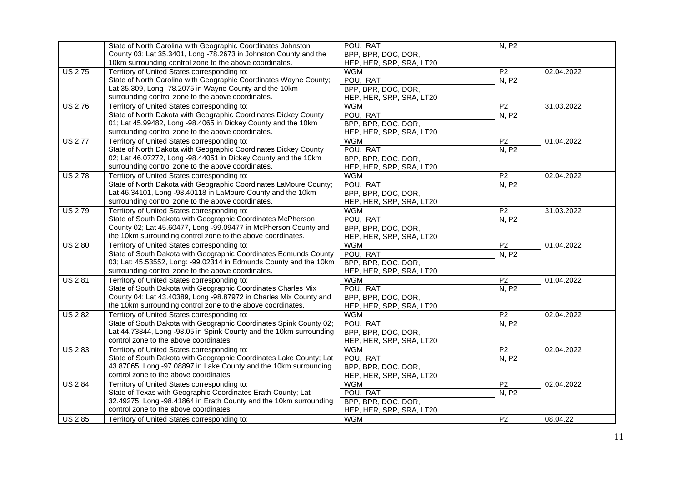|                | State of North Carolina with Geographic Coordinates Johnston                           | POU, RAT                               | N, P2           |            |
|----------------|----------------------------------------------------------------------------------------|----------------------------------------|-----------------|------------|
|                | County 03; Lat 35.3401, Long -78.2673 in Johnston County and the                       | BPP, BPR, DOC, DOR,                    |                 |            |
|                | 10km surrounding control zone to the above coordinates.                                | HEP, HER, SRP, SRA, LT20               |                 |            |
| <b>US 2.75</b> | Territory of United States corresponding to:                                           | <b>WGM</b>                             | P <sub>2</sub>  | 02.04.2022 |
|                | State of North Carolina with Geographic Coordinates Wayne County;                      | POU, RAT                               | N, P2           |            |
|                | Lat 35.309, Long -78.2075 in Wayne County and the 10km                                 | BPP, BPR, DOC, DOR,                    |                 |            |
|                | surrounding control zone to the above coordinates.                                     | HEP, HER, SRP, SRA, LT20               |                 |            |
| <b>US 2.76</b> | Territory of United States corresponding to:                                           | <b>WGM</b>                             | P <sub>2</sub>  | 31.03.2022 |
|                | State of North Dakota with Geographic Coordinates Dickey County                        | POU, RAT                               | N, P2           |            |
|                | 01; Lat 45.99482, Long -98.4065 in Dickey County and the 10km                          | BPP, BPR, DOC, DOR,                    |                 |            |
|                | surrounding control zone to the above coordinates.                                     | HEP, HER, SRP, SRA, LT20               |                 |            |
| <b>US 2.77</b> | Territory of United States corresponding to:                                           | <b>WGM</b>                             | P <sub>2</sub>  | 01.04.2022 |
|                | State of North Dakota with Geographic Coordinates Dickey County                        | POU, RAT                               | N, P2           |            |
|                | 02; Lat 46.07272, Long -98.44051 in Dickey County and the 10km                         | BPP, BPR, DOC, DOR,                    |                 |            |
|                | surrounding control zone to the above coordinates.                                     | HEP, HER, SRP, SRA, LT20               |                 |            |
| <b>US 2.78</b> | Territory of United States corresponding to:                                           | <b>WGM</b>                             | P <sub>2</sub>  | 02.04.2022 |
|                | State of North Dakota with Geographic Coordinates LaMoure County;                      | POU, RAT                               | N, P2           |            |
|                | Lat 46.34101, Long -98.40118 in LaMoure County and the 10km                            | BPP, BPR, DOC, DOR,                    |                 |            |
|                | surrounding control zone to the above coordinates.                                     | HEP, HER, SRP, SRA, LT20               |                 |            |
| <b>US 2.79</b> | Territory of United States corresponding to:                                           | <b>WGM</b>                             | P <sub>2</sub>  | 31.03.2022 |
|                | State of South Dakota with Geographic Coordinates McPherson                            | POU, RAT                               | N, P2           |            |
|                | County 02; Lat 45.60477, Long -99.09477 in McPherson County and                        | BPP, BPR, DOC, DOR,                    |                 |            |
|                | the 10km surrounding control zone to the above coordinates.                            | HEP, HER, SRP, SRA, LT20               |                 |            |
| <b>US 2.80</b> | Territory of United States corresponding to:                                           | <b>WGM</b>                             | $\overline{P2}$ | 01.04.2022 |
|                | State of South Dakota with Geographic Coordinates Edmunds County                       | POU, RAT                               | N, P2           |            |
|                | 03; Lat: 45.53552, Long: -99.02314 in Edmunds County and the 10km                      | BPP, BPR, DOC, DOR,                    |                 |            |
|                | surrounding control zone to the above coordinates.                                     | HEP, HER, SRP, SRA, LT20               |                 |            |
| <b>US 2.81</b> | Territory of United States corresponding to:                                           | <b>WGM</b>                             | P <sub>2</sub>  | 01.04.2022 |
|                | State of South Dakota with Geographic Coordinates Charles Mix                          | POU, RAT                               | N, P2           |            |
|                | County 04; Lat 43.40389, Long -98.87972 in Charles Mix County and                      | BPP, BPR, DOC, DOR,                    |                 |            |
|                | the 10km surrounding control zone to the above coordinates.                            | HEP, HER, SRP, SRA, LT20               |                 |            |
| <b>US 2.82</b> | Territory of United States corresponding to:                                           | <b>WGM</b>                             | P <sub>2</sub>  | 02.04.2022 |
|                | State of South Dakota with Geographic Coordinates Spink County 02;                     | POU, RAT                               | N, P2           |            |
|                | Lat 44.73844, Long -98.05 in Spink County and the 10km surrounding                     | BPP, BPR, DOC, DOR,                    |                 |            |
|                | control zone to the above coordinates.                                                 | HEP, HER, SRP, SRA, LT20               |                 |            |
| <b>US 2.83</b> | Territory of United States corresponding to:                                           | <b>WGM</b>                             | P <sub>2</sub>  | 02.04.2022 |
|                | State of South Dakota with Geographic Coordinates Lake County; Lat                     | POU, RAT                               | N, P2           |            |
|                | 43.87065, Long -97.08897 in Lake County and the 10km surrounding                       | BPP, BPR, DOC, DOR,                    |                 |            |
|                | control zone to the above coordinates.                                                 | HEP, HER, SRP, SRA, LT20               |                 |            |
| <b>US 2.84</b> | Territory of United States corresponding to:                                           | <b>WGM</b>                             | P <sub>2</sub>  | 02.04.2022 |
|                | State of Texas with Geographic Coordinates Erath County; Lat                           | POU, RAT                               | N, P2           |            |
|                | 32.49275, Long -98.41864 in Erath County and the 10km surrounding                      | BPP, BPR, DOC, DOR,                    |                 |            |
|                |                                                                                        |                                        |                 |            |
|                |                                                                                        |                                        |                 |            |
| <b>US 2.85</b> | control zone to the above coordinates.<br>Territory of United States corresponding to: | HEP, HER, SRP, SRA, LT20<br><b>WGM</b> | P <sub>2</sub>  | 08.04.22   |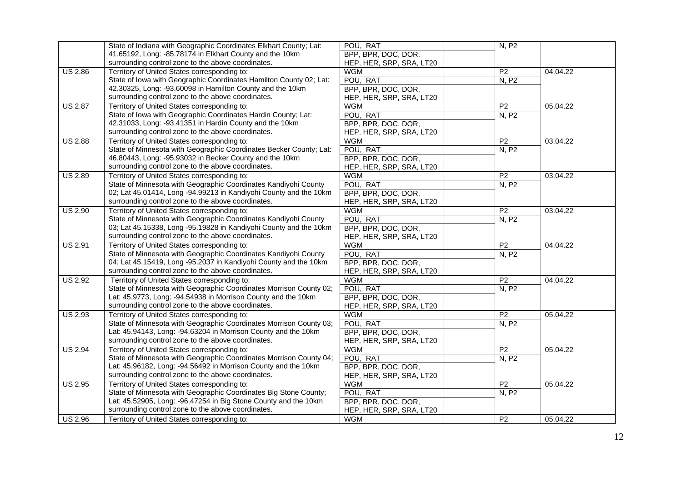|                | State of Indiana with Geographic Coordinates Elkhart County; Lat:  | POU, RAT                 | N, P2           |          |
|----------------|--------------------------------------------------------------------|--------------------------|-----------------|----------|
|                | 41.65192, Long: -85.78174 in Elkhart County and the 10km           | BPP, BPR, DOC, DOR,      |                 |          |
|                | surrounding control zone to the above coordinates.                 | HEP, HER, SRP, SRA, LT20 |                 |          |
| <b>US 2.86</b> | Territory of United States corresponding to:                       | <b>WGM</b>               | P <sub>2</sub>  | 04.04.22 |
|                | State of Iowa with Geographic Coordinates Hamilton County 02; Lat: | POU, RAT                 | N, P2           |          |
|                | 42.30325, Long: -93.60098 in Hamilton County and the 10km          | BPP, BPR, DOC, DOR,      |                 |          |
|                | surrounding control zone to the above coordinates.                 | HEP, HER, SRP, SRA, LT20 |                 |          |
| <b>US 2.87</b> | Territory of United States corresponding to:                       | <b>WGM</b>               | P <sub>2</sub>  | 05.04.22 |
|                | State of Iowa with Geographic Coordinates Hardin County; Lat:      | POU, RAT                 | N, P2           |          |
|                | 42.31033, Long: -93.41351 in Hardin County and the 10km            | BPP, BPR, DOC, DOR,      |                 |          |
|                | surrounding control zone to the above coordinates.                 | HEP, HER, SRP, SRA, LT20 |                 |          |
| <b>US 2.88</b> | Territory of United States corresponding to:                       | <b>WGM</b>               | P <sub>2</sub>  | 03.04.22 |
|                | State of Minnesota with Geographic Coordinates Becker County; Lat: | POU, RAT                 | N, P2           |          |
|                | 46.80443, Long: -95.93032 in Becker County and the 10km            | BPP, BPR, DOC, DOR,      |                 |          |
|                | surrounding control zone to the above coordinates.                 | HEP, HER, SRP, SRA, LT20 |                 |          |
| <b>US 2.89</b> | Territory of United States corresponding to:                       | <b>WGM</b>               | P <sub>2</sub>  | 03.04.22 |
|                | State of Minnesota with Geographic Coordinates Kandiyohi County    | POU, RAT                 | N, P2           |          |
|                | 02; Lat 45.01414, Long -94.99213 in Kandiyohi County and the 10km  | BPP, BPR, DOC, DOR,      |                 |          |
|                | surrounding control zone to the above coordinates.                 | HEP, HER, SRP, SRA, LT20 |                 |          |
| <b>US 2.90</b> | Territory of United States corresponding to:                       | <b>WGM</b>               | $\overline{P2}$ | 03.04.22 |
|                | State of Minnesota with Geographic Coordinates Kandiyohi County    | POU, RAT                 | N, P2           |          |
|                | 03; Lat 45.15338, Long -95.19828 in Kandiyohi County and the 10km  | BPP, BPR, DOC, DOR,      |                 |          |
|                | surrounding control zone to the above coordinates.                 | HEP, HER, SRP, SRA, LT20 |                 |          |
| <b>US 2.91</b> | Territory of United States corresponding to:                       | <b>WGM</b>               | $\overline{P2}$ | 04.04.22 |
|                | State of Minnesota with Geographic Coordinates Kandiyohi County    | POU, RAT                 | N, P2           |          |
|                | 04; Lat 45.15419, Long -95.2037 in Kandiyohi County and the 10km   | BPP, BPR, DOC, DOR,      |                 |          |
|                | surrounding control zone to the above coordinates.                 | HEP, HER, SRP, SRA, LT20 |                 |          |
| <b>US 2.92</b> | Territory of United States corresponding to:                       | <b>WGM</b>               | P <sub>2</sub>  | 04.04.22 |
|                | State of Minnesota with Geographic Coordinates Morrison County 02; | POU, RAT                 | N, P2           |          |
|                | Lat: 45.9773, Long: -94.54938 in Morrison County and the 10km      | BPP, BPR, DOC, DOR,      |                 |          |
|                | surrounding control zone to the above coordinates.                 | HEP, HER, SRP, SRA, LT20 |                 |          |
| <b>US 2.93</b> | Territory of United States corresponding to:                       | <b>WGM</b>               | P <sub>2</sub>  | 05.04.22 |
|                | State of Minnesota with Geographic Coordinates Morrison County 03; | POU, RAT                 | N, P2           |          |
|                | Lat: 45.94143, Long: -94.63204 in Morrison County and the 10km     | BPP, BPR, DOC, DOR,      |                 |          |
|                | surrounding control zone to the above coordinates.                 | HEP, HER, SRP, SRA, LT20 |                 |          |
| <b>US 2.94</b> | Territory of United States corresponding to:                       | <b>WGM</b>               | P <sub>2</sub>  | 05.04.22 |
|                | State of Minnesota with Geographic Coordinates Morrison County 04; | POU, RAT                 | N, P2           |          |
|                | Lat: 45.96182, Long: -94.56492 in Morrison County and the 10km     | BPP, BPR, DOC, DOR,      |                 |          |
|                | surrounding control zone to the above coordinates.                 | HEP, HER, SRP, SRA, LT20 |                 |          |
| <b>US 2.95</b> | Territory of United States corresponding to:                       | <b>WGM</b>               | P <sub>2</sub>  | 05.04.22 |
|                | State of Minnesota with Geographic Coordinates Big Stone County;   | POU, RAT                 | N, P2           |          |
|                | Lat: 45.52905, Long: -96.47254 in Big Stone County and the 10km    | BPP, BPR, DOC, DOR,      |                 |          |
|                | surrounding control zone to the above coordinates.                 | HEP, HER, SRP, SRA, LT20 |                 |          |
| <b>US 2.96</b> | Territory of United States corresponding to:                       | <b>WGM</b>               | P <sub>2</sub>  | 05.04.22 |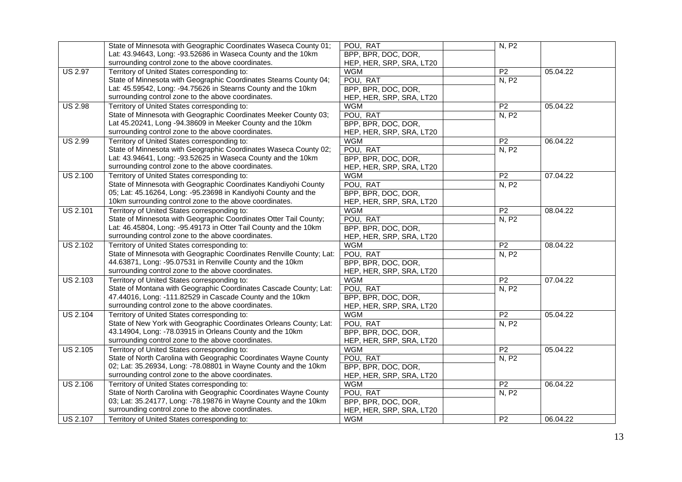|                 | State of Minnesota with Geographic Coordinates Waseca County 01;     | POU, RAT                 | N, P2           |          |
|-----------------|----------------------------------------------------------------------|--------------------------|-----------------|----------|
|                 | Lat: 43.94643, Long: -93.52686 in Waseca County and the 10km         | BPP, BPR, DOC, DOR,      |                 |          |
|                 | surrounding control zone to the above coordinates.                   | HEP, HER, SRP, SRA, LT20 |                 |          |
| <b>US 2.97</b>  | Territory of United States corresponding to:                         | <b>WGM</b>               | P <sub>2</sub>  | 05.04.22 |
|                 | State of Minnesota with Geographic Coordinates Stearns County 04;    | POU, RAT                 | N, P2           |          |
|                 | Lat: 45.59542, Long: -94.75626 in Stearns County and the 10km        | BPP, BPR, DOC, DOR,      |                 |          |
|                 | surrounding control zone to the above coordinates.                   | HEP, HER, SRP, SRA, LT20 |                 |          |
| <b>US 2.98</b>  | Territory of United States corresponding to:                         | <b>WGM</b>               | P <sub>2</sub>  | 05.04.22 |
|                 | State of Minnesota with Geographic Coordinates Meeker County 03;     | POU, RAT                 | N, P2           |          |
|                 | Lat 45.20241, Long -94.38609 in Meeker County and the 10km           | BPP, BPR, DOC, DOR,      |                 |          |
|                 | surrounding control zone to the above coordinates.                   | HEP, HER, SRP, SRA, LT20 |                 |          |
| <b>US 2.99</b>  | Territory of United States corresponding to:                         | <b>WGM</b>               | P <sub>2</sub>  | 06.04.22 |
|                 | State of Minnesota with Geographic Coordinates Waseca County 02;     | POU, RAT                 | N, P2           |          |
|                 | Lat: 43.94641, Long: -93.52625 in Waseca County and the 10km         | BPP, BPR, DOC, DOR,      |                 |          |
|                 | surrounding control zone to the above coordinates.                   | HEP, HER, SRP, SRA, LT20 |                 |          |
| <b>US 2.100</b> | Territory of United States corresponding to:                         | <b>WGM</b>               | P <sub>2</sub>  | 07.04.22 |
|                 | State of Minnesota with Geographic Coordinates Kandiyohi County      | POU, RAT                 | N, P2           |          |
|                 | 05; Lat: 45.16264, Long: -95.23698 in Kandiyohi County and the       | BPP, BPR, DOC, DOR,      |                 |          |
|                 | 10km surrounding control zone to the above coordinates.              | HEP, HER, SRP, SRA, LT20 |                 |          |
| <b>US 2.101</b> | Territory of United States corresponding to:                         | <b>WGM</b>               | $\overline{P2}$ | 08.04.22 |
|                 | State of Minnesota with Geographic Coordinates Otter Tail County;    | POU, RAT                 | N, P2           |          |
|                 | Lat: 46.45804, Long: -95.49173 in Otter Tail County and the 10km     | BPP, BPR, DOC, DOR,      |                 |          |
|                 | surrounding control zone to the above coordinates.                   | HEP, HER, SRP, SRA, LT20 |                 |          |
| <b>US 2.102</b> | Territory of United States corresponding to:                         | <b>WGM</b>               | $\overline{P2}$ | 08.04.22 |
|                 | State of Minnesota with Geographic Coordinates Renville County; Lat: | POU, RAT                 | N, P2           |          |
|                 | 44.63871, Long: -95.07531 in Renville County and the 10km            | BPP, BPR, DOC, DOR,      |                 |          |
|                 | surrounding control zone to the above coordinates.                   | HEP, HER, SRP, SRA, LT20 |                 |          |
| <b>US 2.103</b> | Territory of United States corresponding to:                         | <b>WGM</b>               | P <sub>2</sub>  | 07.04.22 |
|                 | State of Montana with Geographic Coordinates Cascade County; Lat:    | POU, RAT                 | N, P2           |          |
|                 | 47.44016, Long: -111.82529 in Cascade County and the 10km            | BPP, BPR, DOC, DOR,      |                 |          |
|                 | surrounding control zone to the above coordinates.                   | HEP, HER, SRP, SRA, LT20 |                 |          |
| <b>US 2.104</b> | Territory of United States corresponding to:                         | <b>WGM</b>               | P <sub>2</sub>  | 05.04.22 |
|                 | State of New York with Geographic Coordinates Orleans County; Lat:   | POU, RAT                 | N, P2           |          |
|                 | 43.14904, Long: -78.03915 in Orleans County and the 10km             | BPP, BPR, DOC, DOR,      |                 |          |
|                 | surrounding control zone to the above coordinates.                   | HEP, HER, SRP, SRA, LT20 |                 |          |
| <b>US 2.105</b> | Territory of United States corresponding to:                         | <b>WGM</b>               | P <sub>2</sub>  | 05.04.22 |
|                 | State of North Carolina with Geographic Coordinates Wayne County     | POU, RAT                 | N, P2           |          |
|                 | 02; Lat: 35.26934, Long: -78.08801 in Wayne County and the 10km      | BPP, BPR, DOC, DOR,      |                 |          |
|                 | surrounding control zone to the above coordinates.                   | HEP, HER, SRP, SRA, LT20 |                 |          |
| <b>US 2.106</b> | Territory of United States corresponding to:                         | <b>WGM</b>               | P <sub>2</sub>  | 06.04.22 |
|                 | State of North Carolina with Geographic Coordinates Wayne County     | POU, RAT                 | N, P2           |          |
|                 | 03; Lat: 35.24177, Long: -78.19876 in Wayne County and the 10km      | BPP, BPR, DOC, DOR,      |                 |          |
|                 | surrounding control zone to the above coordinates.                   | HEP, HER, SRP, SRA, LT20 |                 |          |
| <b>US 2.107</b> | Territory of United States corresponding to:                         | <b>WGM</b>               | P <sub>2</sub>  | 06.04.22 |
|                 |                                                                      |                          |                 |          |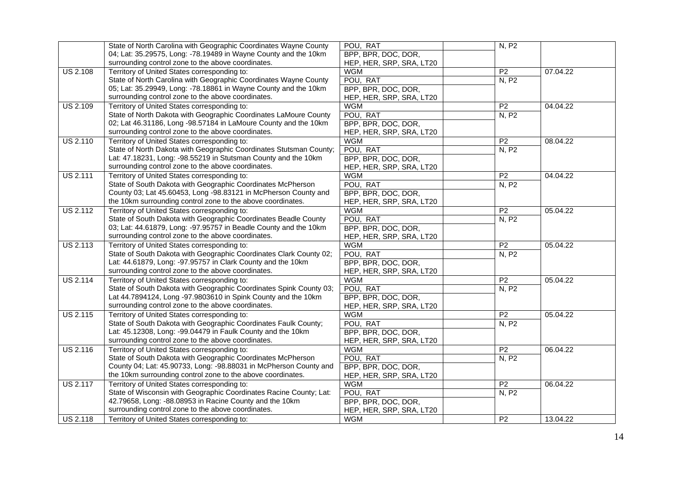|                 | State of North Carolina with Geographic Coordinates Wayne County   | POU, RAT                 | N, P2           |          |
|-----------------|--------------------------------------------------------------------|--------------------------|-----------------|----------|
|                 | 04; Lat: 35.29575, Long: -78.19489 in Wayne County and the 10km    | BPP, BPR, DOC, DOR,      |                 |          |
|                 | surrounding control zone to the above coordinates.                 | HEP, HER, SRP, SRA, LT20 |                 |          |
| <b>US 2.108</b> | Territory of United States corresponding to:                       | <b>WGM</b>               | P <sub>2</sub>  | 07.04.22 |
|                 | State of North Carolina with Geographic Coordinates Wayne County   | POU, RAT                 | N, P2           |          |
|                 | 05; Lat: 35.29949, Long: -78.18861 in Wayne County and the 10km    | BPP, BPR, DOC, DOR,      |                 |          |
|                 | surrounding control zone to the above coordinates.                 | HEP, HER, SRP, SRA, LT20 |                 |          |
| <b>US 2.109</b> | Territory of United States corresponding to:                       | <b>WGM</b>               | P <sub>2</sub>  | 04.04.22 |
|                 | State of North Dakota with Geographic Coordinates LaMoure County   | POU, RAT                 | N, P2           |          |
|                 | 02; Lat 46.31186, Long -98.57184 in LaMoure County and the 10km    | BPP, BPR, DOC, DOR,      |                 |          |
|                 | surrounding control zone to the above coordinates.                 | HEP, HER, SRP, SRA, LT20 |                 |          |
| <b>US 2.110</b> | Territory of United States corresponding to:                       | <b>WGM</b>               | P <sub>2</sub>  | 08.04.22 |
|                 | State of North Dakota with Geographic Coordinates Stutsman County; | POU, RAT                 | N, P2           |          |
|                 | Lat: 47.18231, Long: -98.55219 in Stutsman County and the 10km     | BPP, BPR, DOC, DOR,      |                 |          |
|                 | surrounding control zone to the above coordinates.                 | HEP, HER, SRP, SRA, LT20 |                 |          |
| <b>US 2.111</b> | Territory of United States corresponding to:                       | <b>WGM</b>               | P <sub>2</sub>  | 04.04.22 |
|                 | State of South Dakota with Geographic Coordinates McPherson        | POU, RAT                 | N, P2           |          |
|                 | County 03; Lat 45.60453, Long -98.83121 in McPherson County and    | BPP, BPR, DOC, DOR,      |                 |          |
|                 | the 10km surrounding control zone to the above coordinates.        | HEP, HER, SRP, SRA, LT20 |                 |          |
| <b>US 2.112</b> | Territory of United States corresponding to:                       | <b>WGM</b>               | $\overline{P2}$ | 05.04.22 |
|                 | State of South Dakota with Geographic Coordinates Beadle County    | POU, RAT                 | N, P2           |          |
|                 | 03; Lat: 44.61879, Long: -97.95757 in Beadle County and the 10km   | BPP, BPR, DOC, DOR,      |                 |          |
|                 | surrounding control zone to the above coordinates.                 | HEP, HER, SRP, SRA, LT20 |                 |          |
| <b>US 2.113</b> | Territory of United States corresponding to:                       | <b>WGM</b>               | $\overline{P2}$ | 05.04.22 |
|                 | State of South Dakota with Geographic Coordinates Clark County 02; | POU, RAT                 | N, P2           |          |
|                 | Lat: 44.61879, Long: -97.95757 in Clark County and the 10km        | BPP, BPR, DOC, DOR,      |                 |          |
|                 | surrounding control zone to the above coordinates.                 | HEP, HER, SRP, SRA, LT20 |                 |          |
| <b>US 2.114</b> | Territory of United States corresponding to:                       | <b>WGM</b>               | P <sub>2</sub>  | 05.04.22 |
|                 | State of South Dakota with Geographic Coordinates Spink County 03; | POU, RAT                 | N, P2           |          |
|                 | Lat 44.7894124, Long -97.9803610 in Spink County and the 10km      | BPP, BPR, DOC, DOR,      |                 |          |
|                 | surrounding control zone to the above coordinates.                 | HEP, HER, SRP, SRA, LT20 |                 |          |
| <b>US 2.115</b> | Territory of United States corresponding to:                       | <b>WGM</b>               | P <sub>2</sub>  | 05.04.22 |
|                 | State of South Dakota with Geographic Coordinates Faulk County;    | POU, RAT                 | N, P2           |          |
|                 | Lat: 45.12308, Long: -99.04479 in Faulk County and the 10km        | BPP, BPR, DOC, DOR,      |                 |          |
|                 | surrounding control zone to the above coordinates.                 | HEP, HER, SRP, SRA, LT20 |                 |          |
| <b>US 2.116</b> | Territory of United States corresponding to:                       | <b>WGM</b>               | P <sub>2</sub>  | 06.04.22 |
|                 | State of South Dakota with Geographic Coordinates McPherson        | POU, RAT                 | N, P2           |          |
|                 | County 04; Lat: 45.90733, Long: -98.88031 in McPherson County and  | BPP, BPR, DOC, DOR,      |                 |          |
|                 | the 10km surrounding control zone to the above coordinates.        | HEP, HER, SRP, SRA, LT20 |                 |          |
| <b>US 2.117</b> | Territory of United States corresponding to:                       | <b>WGM</b>               | P <sub>2</sub>  | 06.04.22 |
|                 | State of Wisconsin with Geographic Coordinates Racine County; Lat: | POU, RAT                 | N, P2           |          |
|                 | 42.79658, Long: -88.08953 in Racine County and the 10km            | BPP, BPR, DOC, DOR,      |                 |          |
|                 | surrounding control zone to the above coordinates.                 | HEP, HER, SRP, SRA, LT20 |                 |          |
| <b>US 2.118</b> | Territory of United States corresponding to:                       | <b>WGM</b>               | P <sub>2</sub>  | 13.04.22 |
|                 |                                                                    |                          |                 |          |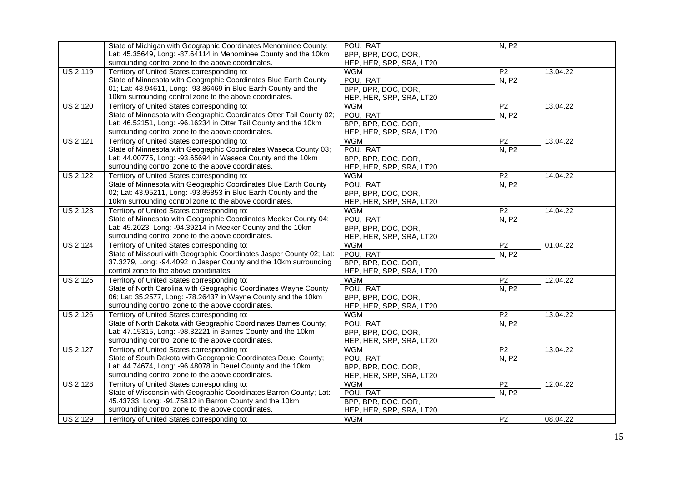|                 | State of Michigan with Geographic Coordinates Menominee County;      | POU, RAT                 | N, P2           |          |
|-----------------|----------------------------------------------------------------------|--------------------------|-----------------|----------|
|                 | Lat: 45.35649, Long: -87.64114 in Menominee County and the 10km      | BPP, BPR, DOC, DOR,      |                 |          |
|                 | surrounding control zone to the above coordinates.                   | HEP, HER, SRP, SRA, LT20 |                 |          |
| <b>US 2.119</b> | Territory of United States corresponding to:                         | <b>WGM</b>               | P <sub>2</sub>  | 13.04.22 |
|                 | State of Minnesota with Geographic Coordinates Blue Earth County     | POU, RAT                 | N, P2           |          |
|                 | 01; Lat: 43.94611, Long: -93.86469 in Blue Earth County and the      | BPP, BPR, DOC, DOR,      |                 |          |
|                 | 10km surrounding control zone to the above coordinates.              | HEP, HER, SRP, SRA, LT20 |                 |          |
| <b>US 2.120</b> | Territory of United States corresponding to:                         | <b>WGM</b>               | P <sub>2</sub>  | 13.04.22 |
|                 | State of Minnesota with Geographic Coordinates Otter Tail County 02; | POU, RAT                 | N, P2           |          |
|                 | Lat: 46.52151, Long: -96.16234 in Otter Tail County and the 10km     | BPP, BPR, DOC, DOR,      |                 |          |
|                 | surrounding control zone to the above coordinates.                   | HEP, HER, SRP, SRA, LT20 |                 |          |
| <b>US 2.121</b> | Territory of United States corresponding to:                         | <b>WGM</b>               | P <sub>2</sub>  | 13.04.22 |
|                 | State of Minnesota with Geographic Coordinates Waseca County 03;     | POU, RAT                 | N, P2           |          |
|                 | Lat: 44.00775, Long: -93.65694 in Waseca County and the 10km         | BPP, BPR, DOC, DOR,      |                 |          |
|                 | surrounding control zone to the above coordinates.                   | HEP, HER, SRP, SRA, LT20 |                 |          |
| <b>US 2.122</b> | Territory of United States corresponding to:                         | <b>WGM</b>               | P <sub>2</sub>  | 14.04.22 |
|                 | State of Minnesota with Geographic Coordinates Blue Earth County     | POU, RAT                 | N, P2           |          |
|                 | 02; Lat: 43.95211, Long: -93.85853 in Blue Earth County and the      | BPP, BPR, DOC, DOR,      |                 |          |
|                 | 10km surrounding control zone to the above coordinates.              | HEP, HER, SRP, SRA, LT20 |                 |          |
| <b>US 2.123</b> | Territory of United States corresponding to:                         | <b>WGM</b>               | $\overline{P2}$ | 14.04.22 |
|                 | State of Minnesota with Geographic Coordinates Meeker County 04;     | POU, RAT                 | N, P2           |          |
|                 | Lat: 45.2023, Long: -94.39214 in Meeker County and the 10km          | BPP, BPR, DOC, DOR,      |                 |          |
|                 | surrounding control zone to the above coordinates.                   | HEP, HER, SRP, SRA, LT20 |                 |          |
| <b>US 2.124</b> | Territory of United States corresponding to:                         | <b>WGM</b>               | $\overline{P2}$ | 01.04.22 |
|                 | State of Missouri with Geographic Coordinates Jasper County 02; Lat: | POU, RAT                 | N, P2           |          |
|                 | 37.3279, Long: -94.4092 in Jasper County and the 10km surrounding    | BPP, BPR, DOC, DOR,      |                 |          |
|                 | control zone to the above coordinates.                               | HEP, HER, SRP, SRA, LT20 |                 |          |
| <b>US 2.125</b> | Territory of United States corresponding to:                         | <b>WGM</b>               | P <sub>2</sub>  | 12.04.22 |
|                 | State of North Carolina with Geographic Coordinates Wayne County     | POU, RAT                 | N, P2           |          |
|                 | 06; Lat: 35.2577, Long: -78.26437 in Wayne County and the 10km       | BPP, BPR, DOC, DOR,      |                 |          |
|                 | surrounding control zone to the above coordinates.                   | HEP, HER, SRP, SRA, LT20 |                 |          |
| <b>US 2.126</b> | Territory of United States corresponding to:                         | <b>WGM</b>               | P <sub>2</sub>  | 13.04.22 |
|                 | State of North Dakota with Geographic Coordinates Barnes County;     | POU, RAT                 | N, P2           |          |
|                 | Lat: 47.15315, Long: -98.32221 in Barnes County and the 10km         | BPP, BPR, DOC, DOR,      |                 |          |
|                 | surrounding control zone to the above coordinates.                   | HEP, HER, SRP, SRA, LT20 |                 |          |
| <b>US 2.127</b> | Territory of United States corresponding to:                         | <b>WGM</b>               | P <sub>2</sub>  | 13.04.22 |
|                 | State of South Dakota with Geographic Coordinates Deuel County;      | POU, RAT                 | N, P2           |          |
|                 | Lat: 44.74674, Long: -96.48078 in Deuel County and the 10km          | BPP, BPR, DOC, DOR,      |                 |          |
|                 | surrounding control zone to the above coordinates.                   | HEP, HER, SRP, SRA, LT20 |                 |          |
| <b>US 2.128</b> | Territory of United States corresponding to:                         | <b>WGM</b>               | P <sub>2</sub>  | 12.04.22 |
|                 | State of Wisconsin with Geographic Coordinates Barron County; Lat:   | POU, RAT                 | N, P2           |          |
|                 | 45.43733, Long: -91.75812 in Barron County and the 10km              | BPP, BPR, DOC, DOR,      |                 |          |
|                 | surrounding control zone to the above coordinates.                   | HEP, HER, SRP, SRA, LT20 |                 |          |
| <b>US 2.129</b> | Territory of United States corresponding to:                         | <b>WGM</b>               | P <sub>2</sub>  | 08.04.22 |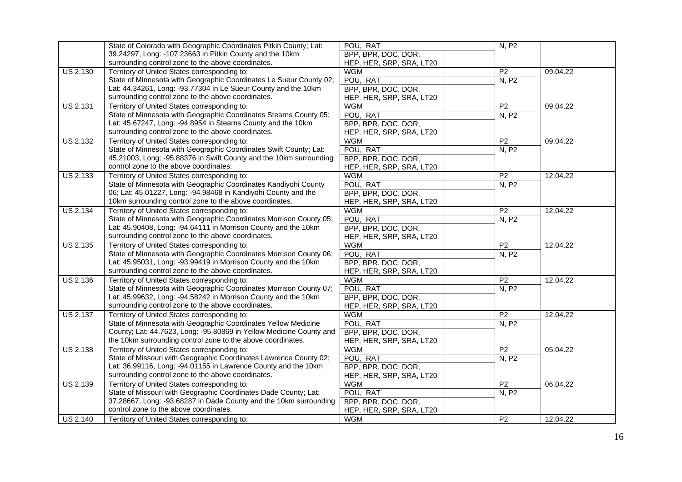|                 | State of Colorado with Geographic Coordinates Pitkin County; Lat:   | POU, RAT                 | N, P2          |          |
|-----------------|---------------------------------------------------------------------|--------------------------|----------------|----------|
|                 | 39.24297, Long: -107.23663 in Pitkin County and the 10km            | BPP, BPR, DOC, DOR,      |                |          |
|                 | surrounding control zone to the above coordinates.                  | HEP, HER, SRP, SRA, LT20 |                |          |
| <b>US 2.130</b> | Territory of United States corresponding to:                        | <b>WGM</b>               | P <sub>2</sub> | 09.04.22 |
|                 | State of Minnesota with Geographic Coordinates Le Sueur County 02;  | POU, RAT                 | N, P2          |          |
|                 | Lat: 44.34261, Long: -93.77304 in Le Sueur County and the 10km      | BPP, BPR, DOC, DOR,      |                |          |
|                 | surrounding control zone to the above coordinates.                  | HEP, HER, SRP, SRA, LT20 |                |          |
| <b>US 2.131</b> | Territory of United States corresponding to:                        | <b>WGM</b>               | P <sub>2</sub> | 09.04.22 |
|                 | State of Minnesota with Geographic Coordinates Stearns County 05;   | POU, RAT                 | N, P2          |          |
|                 | Lat: 45.67247, Long: -94.8954 in Stearns County and the 10km        | BPP, BPR, DOC, DOR,      |                |          |
|                 | surrounding control zone to the above coordinates.                  | HEP, HER, SRP, SRA, LT20 |                |          |
| <b>US 2.132</b> | Territory of United States corresponding to:                        | <b>WGM</b>               | P <sub>2</sub> | 09.04.22 |
|                 | State of Minnesota with Geographic Coordinates Swift County; Lat:   | POU, RAT                 | N, P2          |          |
|                 | 45.21003, Long: -95.88376 in Swift County and the 10km surrounding  | BPP, BPR, DOC, DOR,      |                |          |
|                 | control zone to the above coordinates.                              | HEP, HER, SRP, SRA, LT20 |                |          |
| <b>US 2.133</b> | Territory of United States corresponding to:                        | <b>WGM</b>               | P <sub>2</sub> | 12.04.22 |
|                 | State of Minnesota with Geographic Coordinates Kandiyohi County     | POU, RAT                 | N, P2          |          |
|                 | 06; Lat: 45.01227, Long: -94.98468 in Kandiyohi County and the      | BPP, BPR, DOC, DOR,      |                |          |
|                 | 10km surrounding control zone to the above coordinates.             | HEP, HER, SRP, SRA, LT20 |                |          |
| <b>US 2.134</b> | Territory of United States corresponding to:                        | <b>WGM</b>               | P <sub>2</sub> | 12.04.22 |
|                 | State of Minnesota with Geographic Coordinates Morrison County 05;  | POU, RAT                 | N, P2          |          |
|                 | Lat: 45.90408, Long: -94.64111 in Morrison County and the 10km      | BPP, BPR, DOC, DOR,      |                |          |
|                 | surrounding control zone to the above coordinates.                  | HEP, HER, SRP, SRA, LT20 |                |          |
| <b>US 2.135</b> | Territory of United States corresponding to:                        | <b>WGM</b>               | P <sub>2</sub> | 12.04.22 |
|                 | State of Minnesota with Geographic Coordinates Morrison County 06;  | POU, RAT                 | N, P2          |          |
|                 | Lat: 45.95031, Long: -93.99419 in Morrison County and the 10km      | BPP, BPR, DOC, DOR,      |                |          |
|                 | surrounding control zone to the above coordinates.                  | HEP, HER, SRP, SRA, LT20 |                |          |
| <b>US 2.136</b> | Territory of United States corresponding to:                        | <b>WGM</b>               | P <sub>2</sub> | 12.04.22 |
|                 | State of Minnesota with Geographic Coordinates Morrison County 07;  | POU, RAT                 | N, P2          |          |
|                 | Lat: 45.99632, Long: -94.58242 in Morrison County and the 10km      | BPP, BPR, DOC, DOR,      |                |          |
|                 | surrounding control zone to the above coordinates.                  | HEP, HER, SRP, SRA, LT20 |                |          |
| <b>US 2.137</b> | Territory of United States corresponding to:                        | <b>WGM</b>               | P <sub>2</sub> | 12.04.22 |
|                 | State of Minnesota with Geographic Coordinates Yellow Medicine      | POU, RAT                 | N, P2          |          |
|                 | County; Lat: 44.7623, Long: -95.80869 in Yellow Medicine County and | BPP, BPR, DOC, DOR,      |                |          |
|                 | the 10km surrounding control zone to the above coordinates.         | HEP, HER, SRP, SRA, LT20 |                |          |
| <b>US 2.138</b> | Territory of United States corresponding to:                        | <b>WGM</b>               | P <sub>2</sub> | 05.04.22 |
|                 | State of Missouri with Geographic Coordinates Lawrence County 02;   | POU, RAT                 | N, P2          |          |
|                 | Lat: 36.99116, Long: -94.01155 in Lawrence County and the 10km      | BPP, BPR, DOC, DOR,      |                |          |
|                 | surrounding control zone to the above coordinates.                  | HEP, HER, SRP, SRA, LT20 |                |          |
| <b>US 2.139</b> | Territory of United States corresponding to:                        | <b>WGM</b>               | P <sub>2</sub> | 06.04.22 |
|                 | State of Missouri with Geographic Coordinates Dade County; Lat:     | POU, RAT                 | N, P2          |          |
|                 | 37.28667, Long: -93.68287 in Dade County and the 10km surrounding   | BPP, BPR, DOC, DOR,      |                |          |
|                 | control zone to the above coordinates.                              | HEP, HER, SRP, SRA, LT20 |                |          |
| <b>US 2.140</b> | Territory of United States corresponding to:                        | <b>WGM</b>               | P <sub>2</sub> | 12.04.22 |
|                 |                                                                     |                          |                |          |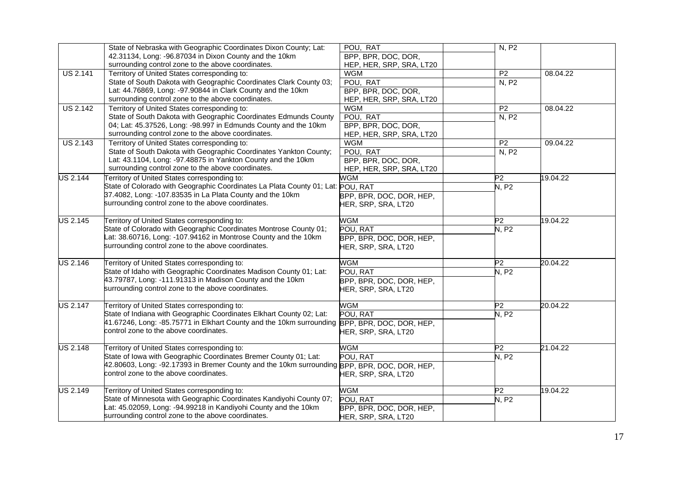|                              | State of Nebraska with Geographic Coordinates Dixon County; Lat:                              | POU, RAT                 | N, P2           |          |
|------------------------------|-----------------------------------------------------------------------------------------------|--------------------------|-----------------|----------|
|                              | 42.31134, Long: -96.87034 in Dixon County and the 10km                                        | BPP, BPR, DOC, DOR,      |                 |          |
|                              | surrounding control zone to the above coordinates.                                            | HEP, HER, SRP, SRA, LT20 |                 |          |
| <b>US 2.141</b>              | Territory of United States corresponding to:                                                  | <b>WGM</b>               | P <sub>2</sub>  | 08.04.22 |
|                              | State of South Dakota with Geographic Coordinates Clark County 03;                            | POU, RAT                 | N, P2           |          |
|                              | Lat: 44.76869, Long: -97.90844 in Clark County and the 10km                                   | BPP, BPR, DOC, DOR,      |                 |          |
|                              | surrounding control zone to the above coordinates.                                            | HEP, HER, SRP, SRA, LT20 |                 |          |
| <b>US 2.142</b>              | Territory of United States corresponding to:                                                  | <b>WGM</b>               | $\overline{P2}$ | 08.04.22 |
|                              | State of South Dakota with Geographic Coordinates Edmunds County                              | POU, RAT                 | N, P2           |          |
|                              | 04; Lat: 45.37526, Long: -98.997 in Edmunds County and the 10km                               | BPP, BPR, DOC, DOR,      |                 |          |
|                              | surrounding control zone to the above coordinates.                                            | HEP, HER, SRP, SRA, LT20 |                 |          |
| <b>US 2.143</b>              | Territory of United States corresponding to:                                                  | <b>WGM</b>               | P <sub>2</sub>  | 09.04.22 |
|                              | State of South Dakota with Geographic Coordinates Yankton County;                             | POU, RAT                 | N, P2           |          |
|                              | Lat: 43.1104, Long: -97.48875 in Yankton County and the 10km                                  | BPP, BPR, DOC, DOR,      |                 |          |
|                              | surrounding control zone to the above coordinates.                                            | HEP, HER, SRP, SRA, LT20 |                 |          |
| <b>US 2.144</b>              | Territory of United States corresponding to:                                                  | <b>WGM</b>               | P2              | 19.04.22 |
|                              | State of Colorado with Geographic Coordinates La Plata County 01; Lat: POU, RAT               |                          | N, P2           |          |
|                              | 37.4082, Long: -107.83535 in La Plata County and the 10km                                     | BPP, BPR, DOC, DOR, HEP, |                 |          |
|                              | surrounding control zone to the above coordinates.                                            | HER, SRP, SRA, LT20      |                 |          |
|                              |                                                                                               |                          |                 |          |
| <b>US 2.145</b>              | Territory of United States corresponding to:                                                  | <b>WGM</b>               | P2              | 19.04.22 |
|                              | State of Colorado with Geographic Coordinates Montrose County 01;                             | POU, RAT                 | N, P2           |          |
|                              | Lat: 38.60716, Long: -107.94162 in Montrose County and the 10km                               | BPP, BPR, DOC, DOR, HEP, |                 |          |
|                              | surrounding control zone to the above coordinates.                                            | HER, SRP, SRA, LT20      |                 |          |
|                              |                                                                                               |                          |                 |          |
| $\overline{\text{US }2.146}$ | Territory of United States corresponding to:                                                  | <b>WGM</b>               | P2              | 20.04.22 |
|                              | State of Idaho with Geographic Coordinates Madison County 01; Lat:                            | POU, RAT                 | <b>N, P2</b>    |          |
|                              | 43.79787, Long: -111.91313 in Madison County and the 10km                                     | BPP, BPR, DOC, DOR, HEP, |                 |          |
|                              | surrounding control zone to the above coordinates.                                            | HER, SRP, SRA, LT20      |                 |          |
|                              |                                                                                               |                          |                 |          |
| <b>US 2.147</b>              | Territory of United States corresponding to:                                                  | <b>WGM</b>               | P <sub>2</sub>  | 20.04.22 |
|                              | State of Indiana with Geographic Coordinates Elkhart County 02; Lat:                          | POU, RAT                 | N, P2           |          |
|                              | 41.67246, Long: -85.75771 in Elkhart County and the 10km surrounding BPP, BPR, DOC, DOR, HEP, |                          |                 |          |
|                              | control zone to the above coordinates.                                                        | HER, SRP, SRA, LT20      |                 |          |
|                              |                                                                                               |                          |                 |          |
| <b>US 2.148</b>              | Territory of United States corresponding to:                                                  | <b>WGM</b>               | P <sub>2</sub>  | 21.04.22 |
|                              | State of Iowa with Geographic Coordinates Bremer County 01; Lat:                              | POU, RAT                 | <b>N, P2</b>    |          |
|                              | 42.80603, Long: -92.17393 in Bremer County and the 10km surrounding BPP, BPR, DOC, DOR, HEP,  |                          |                 |          |
|                              | control zone to the above coordinates.                                                        | HER, SRP, SRA, LT20      |                 |          |
|                              |                                                                                               |                          |                 |          |
| <b>US 2.149</b>              | Territory of United States corresponding to:                                                  | <b>WGM</b>               | $\overline{P2}$ | 19.04.22 |
|                              | State of Minnesota with Geographic Coordinates Kandiyohi County 07;                           | POU, RAT                 | N, P2           |          |
|                              | Lat: 45.02059, Long: -94.99218 in Kandiyohi County and the 10km                               | BPP, BPR, DOC, DOR, HEP, |                 |          |
|                              | surrounding control zone to the above coordinates.                                            | HER, SRP, SRA, LT20      |                 |          |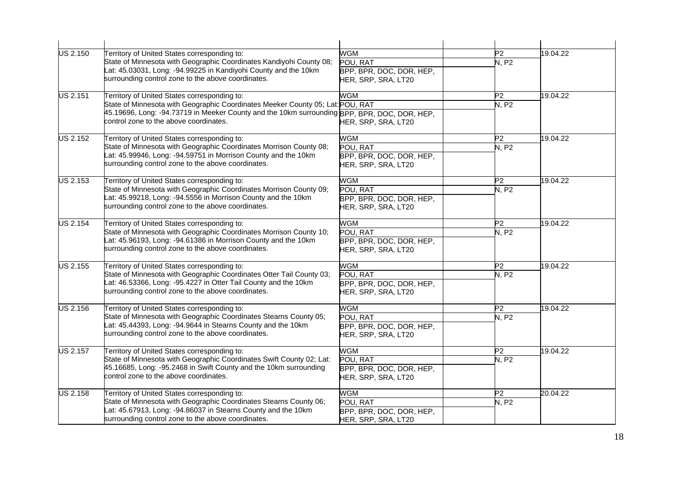| <b>US 2.150</b> | Territory of United States corresponding to:                                                                       | <b>WGM</b>               | P2              | 19.04.22 |
|-----------------|--------------------------------------------------------------------------------------------------------------------|--------------------------|-----------------|----------|
|                 | State of Minnesota with Geographic Coordinates Kandiyohi County 08;                                                | POU, RAT                 | <b>N.P2</b>     |          |
|                 | Lat: 45.03031, Long: -94.99225 in Kandiyohi County and the 10km                                                    | BPP, BPR, DOC, DOR, HEP, |                 |          |
|                 | surrounding control zone to the above coordinates.                                                                 | HER, SRP, SRA, LT20      |                 |          |
| US 2.151        | Territory of United States corresponding to:                                                                       | <b>WGM</b>               | P <sub>2</sub>  | 19.04.22 |
|                 | State of Minnesota with Geographic Coordinates Meeker County 05; Lat: POU, RAT                                     |                          | <b>N.P2</b>     |          |
|                 | 45.19696, Long: -94.73719 in Meeker County and the 10km surrounding BPP, BPR, DOC, DOR, HEP,                       |                          |                 |          |
|                 | control zone to the above coordinates.                                                                             | HER, SRP, SRA, LT20      |                 |          |
| US 2.152        | Territory of United States corresponding to:                                                                       | <b>WGM</b>               | P2              | 19.04.22 |
|                 | State of Minnesota with Geographic Coordinates Morrison County 08;                                                 | POU, RAT                 | N, P2           |          |
|                 | Lat: 45.99946, Long: -94.59751 in Morrison County and the 10km                                                     | BPP, BPR, DOC, DOR, HEP, |                 |          |
|                 | surrounding control zone to the above coordinates.                                                                 | HER, SRP, SRA, LT20      |                 |          |
| US 2.153        | Territory of United States corresponding to:                                                                       | <b>WGM</b>               | P2              | 19.04.22 |
|                 | State of Minnesota with Geographic Coordinates Morrison County 09;                                                 | POU, RAT                 | N, P2           |          |
|                 | Lat: 45.99218, Long: -94.5556 in Morrison County and the 10km                                                      | BPP, BPR, DOC, DOR, HEP, |                 |          |
|                 | surrounding control zone to the above coordinates.                                                                 | HER, SRP, SRA, LT20      |                 |          |
| US 2.154        | Territory of United States corresponding to:<br>State of Minnesota with Geographic Coordinates Morrison County 10; | <b>WGM</b>               | P2              | 19.04.22 |
|                 |                                                                                                                    | POU, RAT                 | N, P2           |          |
|                 | Lat: 45.96193, Long: -94.61386 in Morrison County and the 10km                                                     | BPP, BPR, DOC, DOR, HEP, |                 |          |
|                 | surrounding control zone to the above coordinates.                                                                 | HER, SRP, SRA, LT20      |                 |          |
| <b>US 2.155</b> | Territory of United States corresponding to:                                                                       | <b>WGM</b>               | P2              | 19.04.22 |
|                 | State of Minnesota with Geographic Coordinates Otter Tail County 03;                                               | POU, RAT                 | N, P2           |          |
|                 | at: 46.53366, Long: -95.4227 in Otter Tail County and the 10km                                                     | BPP, BPR, DOC, DOR, HEP, |                 |          |
|                 | surrounding control zone to the above coordinates.                                                                 | HER, SRP, SRA, LT20      |                 |          |
| <b>US 2.156</b> | Territory of United States corresponding to:                                                                       | <b>WGM</b>               | P2              | 19.04.22 |
|                 | State of Minnesota with Geographic Coordinates Stearns County 05;                                                  | POU, RAT                 | <b>N.P2</b>     |          |
|                 | Lat: 45.44393, Long: -94.9644 in Stearns County and the 10km                                                       | BPP, BPR, DOC, DOR, HEP, |                 |          |
|                 | surrounding control zone to the above coordinates.                                                                 | HER, SRP, SRA, LT20      |                 |          |
| US 2.157        | Territory of United States corresponding to:                                                                       | <b>WGM</b>               | P <sub>2</sub>  | 19.04.22 |
|                 | State of Minnesota with Geographic Coordinates Swift County 02; Lat:                                               | POU, RAT                 | N, P2           |          |
|                 | 45.16685, Long: -95.2468 in Swift County and the 10km surrounding                                                  | BPP, BPR, DOC, DOR, HEP, |                 |          |
|                 | control zone to the above coordinates.                                                                             | HER, SRP, SRA, LT20      |                 |          |
| <b>US 2.158</b> | Territory of United States corresponding to:                                                                       | <b>WGM</b>               | $\overline{P2}$ | 20.04.22 |
|                 | State of Minnesota with Geographic Coordinates Stearns County 06;                                                  | POU, RAT                 | N, P2           |          |
|                 | Lat: 45.67913, Long: -94.86037 in Stearns County and the 10km                                                      | BPP, BPR, DOC, DOR, HEP, |                 |          |
|                 | surrounding control zone to the above coordinates.                                                                 | HER, SRP, SRA, LT20      |                 |          |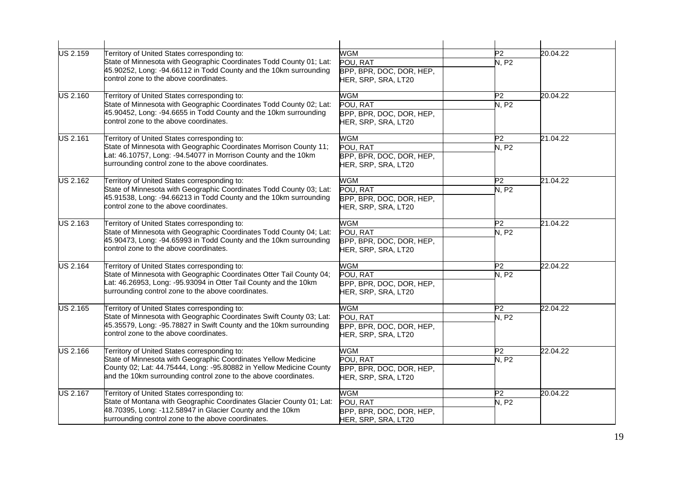| <b>US 2.159</b> | Territory of United States corresponding to:                         | <b>WGM</b>               | P2             | 20.04.22 |
|-----------------|----------------------------------------------------------------------|--------------------------|----------------|----------|
|                 | State of Minnesota with Geographic Coordinates Todd County 01; Lat:  | POU, RAT                 | N, P2          |          |
|                 | 45.90252, Long: -94.66112 in Todd County and the 10km surrounding    | BPP, BPR, DOC, DOR, HEP, |                |          |
|                 | control zone to the above coordinates.                               | HER, SRP, SRA, LT20      |                |          |
| US 2.160        | Territory of United States corresponding to:                         | <b>WGM</b>               | P2             | 20.04.22 |
|                 | State of Minnesota with Geographic Coordinates Todd County 02; Lat:  | POU, RAT                 | N, P2          |          |
|                 | 45.90452, Long: -94.6655 in Todd County and the 10km surrounding     | BPP, BPR, DOC, DOR, HEP, |                |          |
|                 | control zone to the above coordinates.                               | HER, SRP, SRA, LT20      |                |          |
| <b>US 2.161</b> | Territory of United States corresponding to:                         | <b>WGM</b>               | P <sub>2</sub> | 21.04.22 |
|                 | State of Minnesota with Geographic Coordinates Morrison County 11;   | POU, RAT                 | N, P2          |          |
|                 | Lat: 46.10757, Long: -94.54077 in Morrison County and the 10km       | BPP, BPR, DOC, DOR, HEP, |                |          |
|                 | surrounding control zone to the above coordinates.                   | HER, SRP, SRA, LT20      |                |          |
| <b>US 2.162</b> | Territory of United States corresponding to:                         | <b>WGM</b>               | P <sub>2</sub> | 21.04.22 |
|                 | State of Minnesota with Geographic Coordinates Todd County 03; Lat:  | POU, RAT                 | N, P2          |          |
|                 | 45.91538, Long: -94.66213 in Todd County and the 10km surrounding    | BPP, BPR, DOC, DOR, HEP, |                |          |
|                 | control zone to the above coordinates.                               | HER, SRP, SRA, LT20      |                |          |
| <b>US 2.163</b> | Territory of United States corresponding to:                         | <b>WGM</b>               | P <sub>2</sub> | 21.04.22 |
|                 | State of Minnesota with Geographic Coordinates Todd County 04; Lat:  | POU, RAT                 | <b>N, P2</b>   |          |
|                 | 45.90473, Long: -94.65993 in Todd County and the 10km surrounding    | BPP, BPR, DOC, DOR, HEP, |                |          |
|                 | control zone to the above coordinates.                               | HER, SRP, SRA, LT20      |                |          |
| <b>US 2.164</b> | Territory of United States corresponding to:                         | <b>WGM</b>               | P <sub>2</sub> | 22.04.22 |
|                 | State of Minnesota with Geographic Coordinates Otter Tail County 04; | POU, RAT                 | N, P2          |          |
|                 | Lat: 46.26953, Long: -95.93094 in Otter Tail County and the 10km     | BPP, BPR, DOC, DOR, HEP, |                |          |
|                 | surrounding control zone to the above coordinates.                   | HER, SRP, SRA, LT20      |                |          |
| <b>US 2.165</b> | Territory of United States corresponding to:                         | <b>WGM</b>               | P <sub>2</sub> | 22.04.22 |
|                 | State of Minnesota with Geographic Coordinates Swift County 03; Lat: | POU, RAT                 | N, P2          |          |
|                 | 45.35579, Long: -95.78827 in Swift County and the 10km surrounding   | BPP, BPR, DOC, DOR, HEP, |                |          |
|                 | control zone to the above coordinates.                               | HER, SRP, SRA, LT20      |                |          |
| <b>US 2.166</b> | Territory of United States corresponding to:                         | <b>WGM</b>               | P <sub>2</sub> | 22.04.22 |
|                 | State of Minnesota with Geographic Coordinates Yellow Medicine       | POU, RAT                 | N, P2          |          |
|                 | County 02; Lat: 44.75444, Long: -95.80882 in Yellow Medicine County  | BPP, BPR, DOC, DOR, HEP, |                |          |
|                 | and the 10km surrounding control zone to the above coordinates.      | HER, SRP, SRA, LT20      |                |          |
| <b>US 2.167</b> | Territory of United States corresponding to:                         | <b>WGM</b><br>P2         |                | 20.04.22 |
|                 | State of Montana with Geographic Coordinates Glacier County 01; Lat: | POU, RAT                 | N, P2          |          |
|                 | 48.70395, Long: -112.58947 in Glacier County and the 10km            | BPP, BPR, DOC, DOR, HEP, |                |          |
|                 | surrounding control zone to the above coordinates.                   | HER, SRP, SRA, LT20      |                |          |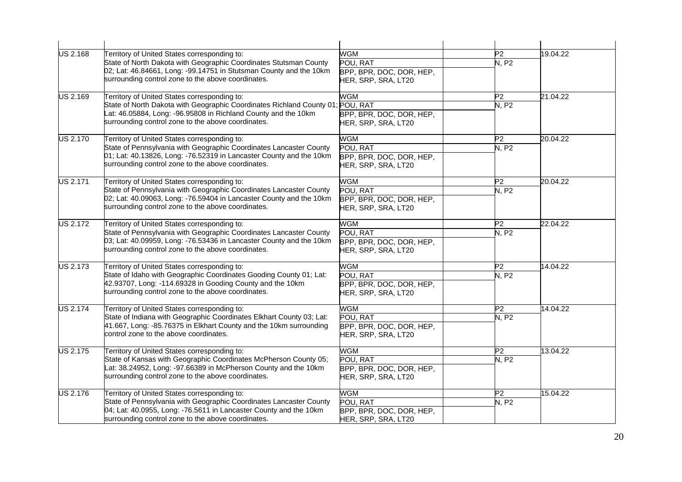| <b>US 2.168</b> | Territory of United States corresponding to:                                   | <b>WGM</b>               | P <sub>2</sub> | 19.04.22 |
|-----------------|--------------------------------------------------------------------------------|--------------------------|----------------|----------|
|                 | State of North Dakota with Geographic Coordinates Stutsman County              | POU, RAT                 | <b>N. P2</b>   |          |
|                 | 02; Lat: 46.84661, Long: -99.14751 in Stutsman County and the 10km             | BPP, BPR, DOC, DOR, HEP, |                |          |
|                 | surrounding control zone to the above coordinates.                             | HER, SRP, SRA, LT20      |                |          |
| <b>US 2.169</b> | Territory of United States corresponding to:                                   | <b>WGM</b>               | P <sub>2</sub> | 21.04.22 |
|                 | State of North Dakota with Geographic Coordinates Richland County 01; POU, RAT |                          | <b>N. P2</b>   |          |
|                 | at: 46.05884, Long: -96.95808 in Richland County and the 10km                  | BPP, BPR, DOC, DOR, HEP, |                |          |
|                 | surrounding control zone to the above coordinates.                             | HER, SRP, SRA, LT20      |                |          |
| <b>US 2.170</b> | Territory of United States corresponding to:                                   | <b>WGM</b>               | P <sub>2</sub> | 20.04.22 |
|                 | State of Pennsylvania with Geographic Coordinates Lancaster County             | POU, RAT                 | N, P2          |          |
|                 | 01; Lat: 40.13826, Long: -76.52319 in Lancaster County and the 10km            | BPP, BPR, DOC, DOR, HEP, |                |          |
|                 | surrounding control zone to the above coordinates.                             | HER, SRP, SRA, LT20      |                |          |
| <b>US 2.171</b> | Territory of United States corresponding to:                                   | <b>WGM</b>               | P <sub>2</sub> | 20.04.22 |
|                 | State of Pennsylvania with Geographic Coordinates Lancaster County             | POU, RAT                 | N, P2          |          |
|                 | 02; Lat: 40.09063, Long: -76.59404 in Lancaster County and the 10km            | BPP, BPR, DOC, DOR, HEP, |                |          |
|                 | surrounding control zone to the above coordinates.                             | HER, SRP, SRA, LT20      |                |          |
| <b>US 2.172</b> | Territory of United States corresponding to:                                   | <b>WGM</b>               | P2             | 22.04.22 |
|                 | State of Pennsylvania with Geographic Coordinates Lancaster County             | POU, RAT                 | N, P2          |          |
|                 | 03; Lat: 40.09959, Long: -76.53436 in Lancaster County and the 10km            | BPP, BPR, DOC, DOR, HEP, |                |          |
|                 | surrounding control zone to the above coordinates.                             | HER, SRP, SRA, LT20      |                |          |
| <b>US 2.173</b> | Territory of United States corresponding to:                                   | <b>WGM</b>               | P <sub>2</sub> | 14.04.22 |
|                 | State of Idaho with Geographic Coordinates Gooding County 01; Lat:             | POU, RAT                 | N, P2          |          |
|                 | 42.93707, Long: -114.69328 in Gooding County and the 10km                      | BPP, BPR, DOC, DOR, HEP, |                |          |
|                 | surrounding control zone to the above coordinates.                             | HER, SRP, SRA, LT20      |                |          |
| <b>US 2.174</b> | Territory of United States corresponding to:                                   | <b>WGM</b>               | P <sub>2</sub> | 14.04.22 |
|                 | State of Indiana with Geographic Coordinates Elkhart County 03; Lat:           | POU, RAT                 | N, P2          |          |
|                 | 41.667, Long: -85.76375 in Elkhart County and the 10km surrounding             | BPP, BPR, DOC, DOR, HEP, |                |          |
|                 | control zone to the above coordinates.                                         | HER, SRP, SRA, LT20      |                |          |
| <b>US 2.175</b> | Territory of United States corresponding to:                                   | <b>WGM</b>               | P2             | 13.04.22 |
|                 | State of Kansas with Geographic Coordinates McPherson County 05;               | POU, RAT                 | <b>N, P2</b>   |          |
|                 | Lat: 38.24952, Long: -97.66389 in McPherson County and the 10km                | BPP, BPR, DOC, DOR, HEP, |                |          |
|                 | surrounding control zone to the above coordinates.                             | HER, SRP, SRA, LT20      |                |          |
| <b>US 2.176</b> | Territory of United States corresponding to:                                   | <b>WGM</b>               | $\overline{P}$ | 15.04.22 |
|                 | State of Pennsylvania with Geographic Coordinates Lancaster County             | POU, RAT                 | N, P2          |          |
|                 | 04; Lat: 40.0955, Long: -76.5611 in Lancaster County and the 10km              | BPP, BPR, DOC, DOR, HEP, |                |          |
|                 | surrounding control zone to the above coordinates.                             | HER, SRP, SRA, LT20      |                |          |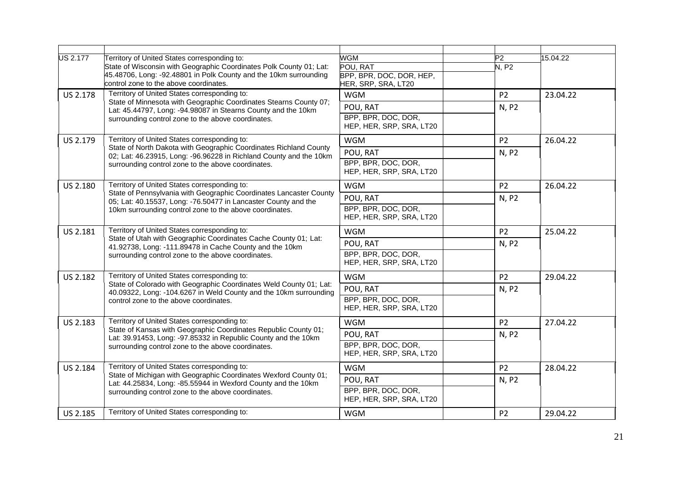| <b>US 2.177</b> | Territory of United States corresponding to:<br>State of Wisconsin with Geographic Coordinates Polk County 01; Lat:<br>45.48706, Long: -92.48801 in Polk County and the 10km surrounding<br>control zone to the above coordinates. | WGM<br>POU, RAT<br>BPP, BPR, DOC, DOR, HEP,<br>HER, SRP, SRA, LT20 | P2<br>N, P2    | 15.04.22 |
|-----------------|------------------------------------------------------------------------------------------------------------------------------------------------------------------------------------------------------------------------------------|--------------------------------------------------------------------|----------------|----------|
| US 2.178        | Territory of United States corresponding to:<br>State of Minnesota with Geographic Coordinates Stearns County 07;                                                                                                                  | <b>WGM</b>                                                         | P <sub>2</sub> | 23.04.22 |
|                 | Lat: 45.44797, Long: -94.98087 in Stearns County and the 10km<br>surrounding control zone to the above coordinates.                                                                                                                | POU, RAT<br>BPP, BPR, DOC, DOR,<br>HEP, HER, SRP, SRA, LT20        | N, P2          |          |
| US 2.179        | Territory of United States corresponding to:                                                                                                                                                                                       | <b>WGM</b>                                                         | P <sub>2</sub> | 26.04.22 |
|                 | State of North Dakota with Geographic Coordinates Richland County<br>02; Lat: 46.23915, Long: -96.96228 in Richland County and the 10km                                                                                            | POU, RAT                                                           | N, P2          |          |
|                 | surrounding control zone to the above coordinates.                                                                                                                                                                                 | BPP, BPR, DOC, DOR,<br>HEP, HER, SRP, SRA, LT20                    |                |          |
| US 2.180        | Territory of United States corresponding to:                                                                                                                                                                                       | <b>WGM</b>                                                         | P <sub>2</sub> | 26.04.22 |
|                 | State of Pennsylvania with Geographic Coordinates Lancaster County<br>05; Lat: 40.15537, Long: -76.50477 in Lancaster County and the                                                                                               | POU, RAT                                                           | N, P2          |          |
|                 | 10km surrounding control zone to the above coordinates.                                                                                                                                                                            | BPP, BPR, DOC, DOR,<br>HEP, HER, SRP, SRA, LT20                    |                |          |
| US 2.181        | Territory of United States corresponding to:                                                                                                                                                                                       | <b>WGM</b>                                                         | P <sub>2</sub> | 25.04.22 |
|                 | State of Utah with Geographic Coordinates Cache County 01; Lat:<br>41.92738, Long: -111.89478 in Cache County and the 10km                                                                                                         | POU, RAT<br>N, P2                                                  |                |          |
|                 | surrounding control zone to the above coordinates.                                                                                                                                                                                 | BPP, BPR, DOC, DOR,<br>HEP, HER, SRP, SRA, LT20                    |                |          |
| <b>US 2.182</b> | Territory of United States corresponding to:                                                                                                                                                                                       | <b>WGM</b>                                                         | P <sub>2</sub> | 29.04.22 |
|                 | State of Colorado with Geographic Coordinates Weld County 01; Lat:<br>40.09322, Long: -104.6267 in Weld County and the 10km surrounding                                                                                            | POU, RAT                                                           | N, P2          |          |
|                 | control zone to the above coordinates.                                                                                                                                                                                             | BPP, BPR, DOC, DOR,<br>HEP, HER, SRP, SRA, LT20                    |                |          |
| US 2.183        | Territory of United States corresponding to:                                                                                                                                                                                       | <b>WGM</b>                                                         | P <sub>2</sub> | 27.04.22 |
|                 | State of Kansas with Geographic Coordinates Republic County 01;<br>Lat: 39.91453, Long: -97.85332 in Republic County and the 10km                                                                                                  | POU, RAT                                                           | N, P2          |          |
|                 | surrounding control zone to the above coordinates.                                                                                                                                                                                 | BPP, BPR, DOC, DOR,<br>HEP, HER, SRP, SRA, LT20                    |                |          |
| US 2.184        | Territory of United States corresponding to:                                                                                                                                                                                       | <b>WGM</b>                                                         | P <sub>2</sub> | 28.04.22 |
|                 | State of Michigan with Geographic Coordinates Wexford County 01;<br>Lat: 44.25834, Long: -85.55944 in Wexford County and the 10km                                                                                                  | POU, RAT                                                           | N, P2          |          |
|                 | surrounding control zone to the above coordinates.                                                                                                                                                                                 | BPP, BPR, DOC, DOR,<br>HEP, HER, SRP, SRA, LT20                    |                |          |
| US 2.185        | Territory of United States corresponding to:                                                                                                                                                                                       | <b>WGM</b>                                                         | P <sub>2</sub> | 29.04.22 |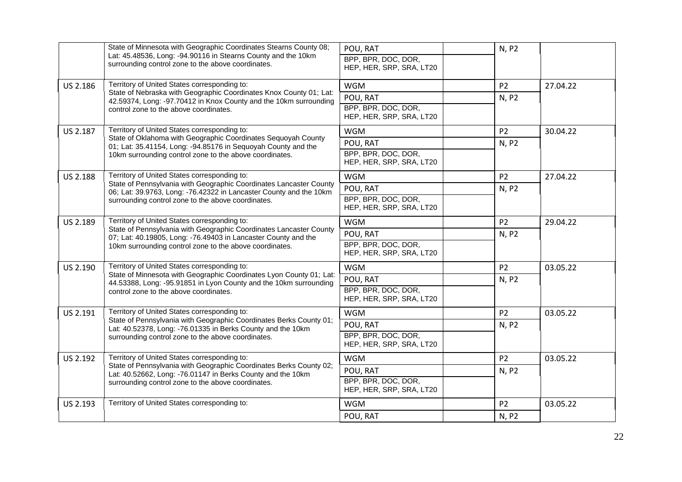|                 | State of Minnesota with Geographic Coordinates Stearns County 08;<br>Lat: 45.48536, Long: -94.90116 in Stearns County and the 10km       | POU, RAT                                        | N, P2                   |          |
|-----------------|------------------------------------------------------------------------------------------------------------------------------------------|-------------------------------------------------|-------------------------|----------|
|                 | surrounding control zone to the above coordinates.                                                                                       | BPP, BPR, DOC, DOR,<br>HEP, HER, SRP, SRA, LT20 |                         |          |
| US 2.186        | Territory of United States corresponding to:                                                                                             | <b>WGM</b>                                      | P <sub>2</sub>          | 27.04.22 |
|                 | State of Nebraska with Geographic Coordinates Knox County 01; Lat:<br>42.59374, Long: -97.70412 in Knox County and the 10km surrounding  | POU, RAT                                        | N, P2                   |          |
|                 | control zone to the above coordinates.                                                                                                   | BPP, BPR, DOC, DOR,<br>HEP, HER, SRP, SRA, LT20 |                         |          |
| US 2.187        | Territory of United States corresponding to:                                                                                             | <b>WGM</b>                                      | P <sub>2</sub>          | 30.04.22 |
|                 | State of Oklahoma with Geographic Coordinates Sequoyah County<br>01; Lat: 35.41154, Long: -94.85176 in Sequoyah County and the           | POU, RAT                                        | N, P2                   |          |
|                 | 10km surrounding control zone to the above coordinates.                                                                                  | BPP, BPR, DOC, DOR,<br>HEP, HER, SRP, SRA, LT20 |                         |          |
| <b>US 2.188</b> | Territory of United States corresponding to:                                                                                             | <b>WGM</b>                                      | P <sub>2</sub>          | 27.04.22 |
|                 | State of Pennsylvania with Geographic Coordinates Lancaster County<br>06; Lat: 39.9763, Long: -76.42322 in Lancaster County and the 10km | POU, RAT                                        | N, P2                   |          |
|                 | surrounding control zone to the above coordinates.                                                                                       | BPP, BPR, DOC, DOR,<br>HEP, HER, SRP, SRA, LT20 |                         |          |
| US 2.189        | Territory of United States corresponding to:                                                                                             | <b>WGM</b>                                      | P <sub>2</sub><br>N, P2 | 29.04.22 |
|                 | State of Pennsylvania with Geographic Coordinates Lancaster County<br>07; Lat: 40.19805, Long: -76.49403 in Lancaster County and the     | POU, RAT                                        |                         |          |
|                 | 10km surrounding control zone to the above coordinates.                                                                                  | BPP, BPR, DOC, DOR,<br>HEP, HER, SRP, SRA, LT20 |                         |          |
| US 2.190        | Territory of United States corresponding to:                                                                                             | <b>WGM</b>                                      | P <sub>2</sub>          | 03.05.22 |
|                 | State of Minnesota with Geographic Coordinates Lyon County 01; Lat:<br>44.53388, Long: -95.91851 in Lyon County and the 10km surrounding | POU, RAT                                        | N, P2                   |          |
|                 | control zone to the above coordinates.                                                                                                   | BPP, BPR, DOC, DOR,<br>HEP, HER, SRP, SRA, LT20 |                         |          |
| US 2.191        | Territory of United States corresponding to:                                                                                             | <b>WGM</b>                                      | P <sub>2</sub>          | 03.05.22 |
|                 | State of Pennsylvania with Geographic Coordinates Berks County 01;<br>Lat: 40.52378, Long: -76.01335 in Berks County and the 10km        | POU, RAT                                        | N, P2                   |          |
|                 | surrounding control zone to the above coordinates.                                                                                       | BPP, BPR, DOC, DOR,<br>HEP, HER, SRP, SRA, LT20 |                         |          |
| US 2.192        | Territory of United States corresponding to:                                                                                             | <b>WGM</b>                                      | P <sub>2</sub>          | 03.05.22 |
|                 | State of Pennsylvania with Geographic Coordinates Berks County 02;<br>Lat: 40.52662, Long: -76.01147 in Berks County and the 10km        | POU, RAT                                        | N, P2                   |          |
|                 | surrounding control zone to the above coordinates.                                                                                       | BPP, BPR, DOC, DOR,<br>HEP, HER, SRP, SRA, LT20 |                         |          |
| US 2.193        | Territory of United States corresponding to:                                                                                             | <b>WGM</b>                                      | P <sub>2</sub>          | 03.05.22 |
|                 |                                                                                                                                          | POU, RAT                                        | N, P2                   |          |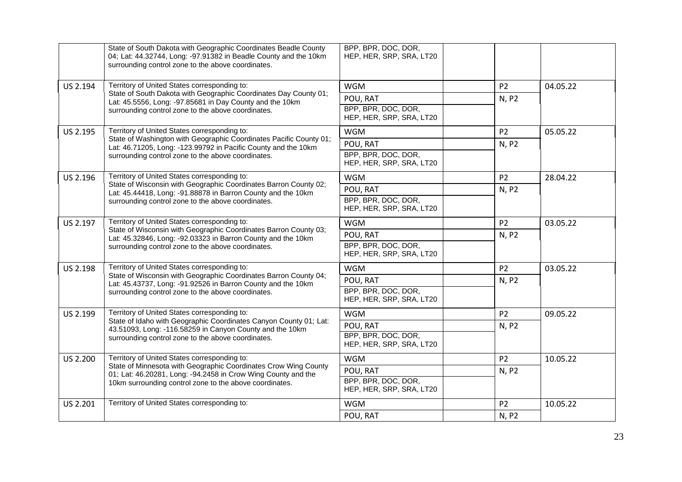|          | State of South Dakota with Geographic Coordinates Beadle County<br>04; Lat: 44.32744, Long: -97.91382 in Beadle County and the 10km<br>surrounding control zone to the above coordinates. | BPP, BPR, DOC, DOR,<br>HEP, HER, SRP, SRA, LT20 |                         |          |
|----------|-------------------------------------------------------------------------------------------------------------------------------------------------------------------------------------------|-------------------------------------------------|-------------------------|----------|
| US 2.194 | Territory of United States corresponding to:                                                                                                                                              | <b>WGM</b>                                      | P <sub>2</sub>          | 04.05.22 |
|          | State of South Dakota with Geographic Coordinates Day County 01;<br>Lat: 45.5556, Long: -97.85681 in Day County and the 10km                                                              | POU, RAT                                        | N, P2                   |          |
|          | surrounding control zone to the above coordinates.                                                                                                                                        | BPP, BPR, DOC, DOR,<br>HEP, HER, SRP, SRA, LT20 |                         |          |
| US 2.195 | Territory of United States corresponding to:                                                                                                                                              | <b>WGM</b>                                      | P <sub>2</sub>          | 05.05.22 |
|          | State of Washington with Geographic Coordinates Pacific County 01;<br>Lat: 46.71205, Long: -123.99792 in Pacific County and the 10km                                                      | POU, RAT                                        | N, P2                   |          |
|          | surrounding control zone to the above coordinates.                                                                                                                                        | BPP, BPR, DOC, DOR,<br>HEP, HER, SRP, SRA, LT20 |                         |          |
| US 2.196 | Territory of United States corresponding to:                                                                                                                                              | <b>WGM</b>                                      | P <sub>2</sub>          | 28.04.22 |
|          | State of Wisconsin with Geographic Coordinates Barron County 02;<br>Lat: 45.44418, Long: -91.88878 in Barron County and the 10km                                                          | POU, RAT                                        | N, P2                   |          |
|          | surrounding control zone to the above coordinates.                                                                                                                                        | BPP, BPR, DOC, DOR,<br>HEP, HER, SRP, SRA, LT20 |                         |          |
| US 2.197 | Territory of United States corresponding to:                                                                                                                                              | <b>WGM</b>                                      | P <sub>2</sub>          | 03.05.22 |
|          | State of Wisconsin with Geographic Coordinates Barron County 03;<br>Lat: 45.32846, Long: -92.03323 in Barron County and the 10km<br>surrounding control zone to the above coordinates.    | POU, RAT                                        | N, P2                   |          |
|          |                                                                                                                                                                                           | BPP, BPR, DOC, DOR,<br>HEP, HER, SRP, SRA, LT20 |                         |          |
| US 2.198 | Territory of United States corresponding to:                                                                                                                                              | <b>WGM</b>                                      | P <sub>2</sub>          | 03.05.22 |
|          | State of Wisconsin with Geographic Coordinates Barron County 04;<br>Lat: 45.43737, Long: -91.92526 in Barron County and the 10km                                                          | POU, RAT                                        | N, P2                   |          |
|          | surrounding control zone to the above coordinates.                                                                                                                                        | BPP, BPR, DOC, DOR,<br>HEP, HER, SRP, SRA, LT20 |                         |          |
| US 2.199 | Territory of United States corresponding to:                                                                                                                                              | <b>WGM</b>                                      | P <sub>2</sub>          | 09.05.22 |
|          | State of Idaho with Geographic Coordinates Canyon County 01; Lat:<br>43.51093, Long: -116.58259 in Canyon County and the 10km                                                             | POU, RAT                                        | N, P2                   |          |
|          | surrounding control zone to the above coordinates.                                                                                                                                        | BPP, BPR, DOC, DOR,<br>HEP, HER, SRP, SRA, LT20 |                         |          |
| US 2.200 | Territory of United States corresponding to:                                                                                                                                              | <b>WGM</b>                                      | P <sub>2</sub><br>N, P2 | 10.05.22 |
|          | State of Minnesota with Geographic Coordinates Crow Wing County<br>01; Lat: 46.20281, Long: -94.2458 in Crow Wing County and the                                                          | POU, RAT                                        |                         |          |
|          | 10km surrounding control zone to the above coordinates.                                                                                                                                   | BPP, BPR, DOC, DOR,<br>HEP, HER, SRP, SRA, LT20 |                         |          |
| US 2.201 | Territory of United States corresponding to:                                                                                                                                              | <b>WGM</b>                                      | P <sub>2</sub>          | 10.05.22 |
|          |                                                                                                                                                                                           | POU, RAT                                        | N, P2                   |          |